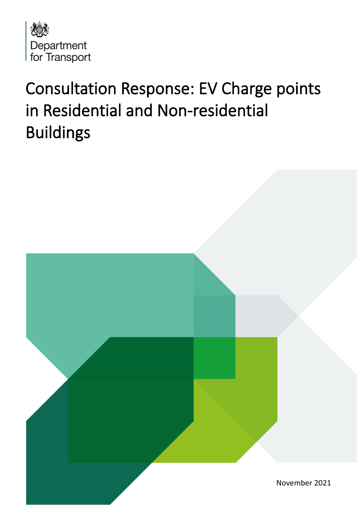

# Consultation Response: EV Charge points in Residential and Non-residential Buildings

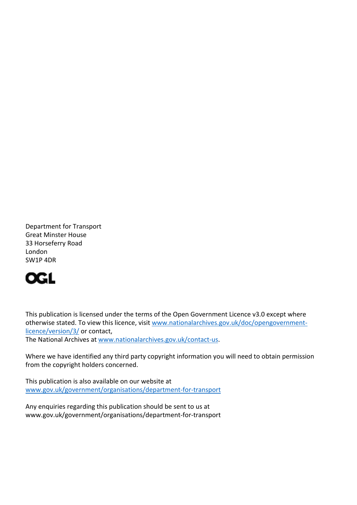Department for Transport Great Minster House 33 Horseferry Road London SW1P 4DR



This publication is licensed under the terms of the Open Government Licence v3.0 except where otherwise stated. To view this licence, visit [www.nationalarchives.gov.uk/doc/opengovernment](http://www.nationalarchives.gov.uk/doc/opengovernment-licence/version/3/)[licence/version/3/](http://www.nationalarchives.gov.uk/doc/opengovernment-licence/version/3/) or contact,

The National Archives at [www.nationalarchives.gov.uk/contact-us.](http://www.nationalarchives.gov.uk/contact-us)

Where we have identified any third party copyright information you will need to obtain permission from the copyright holders concerned.

This publication is also available on our website at [www.gov.uk/government/organisations/department-for-transport](http://www.gov.uk/government/organisations/department-for-transport)

Any enquiries regarding this publication should be sent to us at www.gov.uk/government/organisations/department-for-transport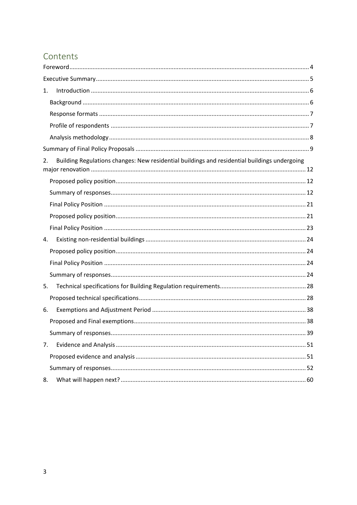# <span id="page-2-0"></span>Contents

| 1.                                                                                                 |
|----------------------------------------------------------------------------------------------------|
|                                                                                                    |
|                                                                                                    |
|                                                                                                    |
|                                                                                                    |
|                                                                                                    |
| Building Regulations changes: New residential buildings and residential buildings undergoing<br>2. |
|                                                                                                    |
|                                                                                                    |
|                                                                                                    |
|                                                                                                    |
|                                                                                                    |
| 4.                                                                                                 |
|                                                                                                    |
|                                                                                                    |
|                                                                                                    |
| 5.                                                                                                 |
|                                                                                                    |
| 6.                                                                                                 |
|                                                                                                    |
|                                                                                                    |
| 7.                                                                                                 |
|                                                                                                    |
|                                                                                                    |
| 8.                                                                                                 |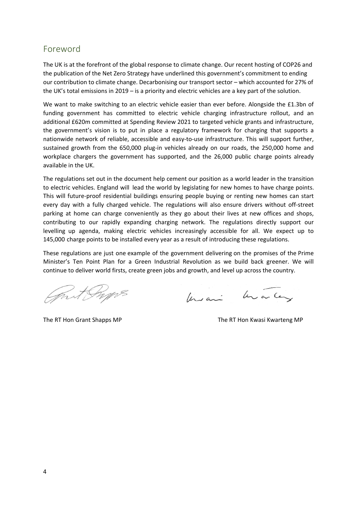# <span id="page-3-0"></span>Foreword

The UK is at the forefront of the global response to climate change. Our recent hosting of COP26 and the publication of the Net Zero Strategy have underlined this government's commitment to ending our contribution to climate change. Decarbonising our transport sector – which accounted for 27% of the UK's total emissions in 2019 – is a priority and electric vehicles are a key part of the solution.

We want to make switching to an electric vehicle easier than ever before. Alongside the £1.3bn of funding government has committed to electric vehicle charging infrastructure rollout, and an additional £620m committed at Spending Review 2021 to targeted vehicle grants and infrastructure, the government's vision is to put in place a regulatory framework for charging that supports a nationwide network of reliable, accessible and easy-to-use infrastructure. This will support further, sustained growth from the 650,000 plug-in vehicles already on our roads, the 250,000 home and workplace chargers the government has supported, and the 26,000 public charge points already available in the UK.

The regulations set out in the document help cement our position as a world leader in the transition to electric vehicles. England will lead the world by legislating for new homes to have charge points. This will future-proof residential buildings ensuring people buying or renting new homes can start every day with a fully charged vehicle. The regulations will also ensure drivers without off-street parking at home can charge conveniently as they go about their lives at new offices and shops, contributing to our rapidly expanding charging network. The regulations directly support our levelling up agenda, making electric vehicles increasingly accessible for all. We expect up to 145,000 charge points to be installed every year as a result of introducing these regulations.

These regulations are just one example of the government delivering on the promises of the Prime Minister's Ten Point Plan for a Green Industrial Revolution as we build back greener. We will continue to deliver world firsts, create green jobs and growth, and level up across the country.

mit Props

Unique him ancey

The RT Hon Grant Shapps MP The RT Hon Kwasi Kwarteng MP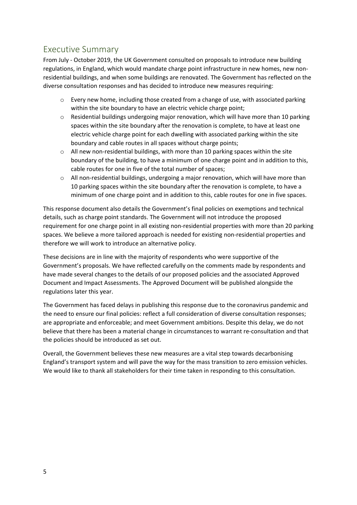# <span id="page-4-0"></span>Executive Summary

From July - October 2019, the UK Government consulted on proposals to introduce new building regulations, in England, which would mandate charge point infrastructure in new homes, new nonresidential buildings, and when some buildings are renovated. The Government has reflected on the diverse consultation responses and has decided to introduce new measures requiring:

- $\circ$  Every new home, including those created from a change of use, with associated parking within the site boundary to have an electric vehicle charge point;
- $\circ$  Residential buildings undergoing major renovation, which will have more than 10 parking spaces within the site boundary after the renovation is complete, to have at least one electric vehicle charge point for each dwelling with associated parking within the site boundary and cable routes in all spaces without charge points;
- o All new non-residential buildings, with more than 10 parking spaces within the site boundary of the building, to have a minimum of one charge point and in addition to this, cable routes for one in five of the total number of spaces;
- o All non-residential buildings, undergoing a major renovation, which will have more than 10 parking spaces within the site boundary after the renovation is complete, to have a minimum of one charge point and in addition to this, cable routes for one in five spaces.

This response document also details the Government's final policies on exemptions and technical details, such as charge point standards. The Government will not introduce the proposed requirement for one charge point in all existing non-residential properties with more than 20 parking spaces. We believe a more tailored approach is needed for existing non-residential properties and therefore we will work to introduce an alternative policy.

These decisions are in line with the majority of respondents who were supportive of the Government's proposals. We have reflected carefully on the comments made by respondents and have made several changes to the details of our proposed policies and the associated Approved Document and Impact Assessments. The Approved Document will be published alongside the regulations later this year.

The Government has faced delays in publishing this response due to the coronavirus pandemic and the need to ensure our final policies: reflect a full consideration of diverse consultation responses; are appropriate and enforceable; and meet Government ambitions. Despite this delay, we do not believe that there has been a material change in circumstances to warrant re-consultation and that the policies should be introduced as set out.

Overall, the Government believes these new measures are a vital step towards decarbonising England's transport system and will pave the way for the mass transition to zero emission vehicles. We would like to thank all stakeholders for their time taken in responding to this consultation.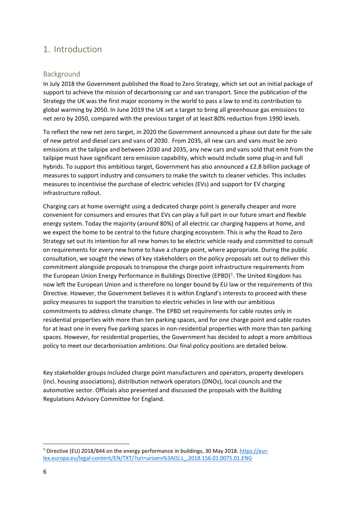# <span id="page-5-0"></span>1. Introduction

# <span id="page-5-1"></span>Background

In July 2018 the Government published the Road to Zero Strategy, which set out an initial package of support to achieve the mission of decarbonising car and van transport. Since the publication of the Strategy the UK was the first major economy in the world to pass a law to end its contribution to global warming by 2050. In June 2019 the UK set a target to bring all greenhouse gas emissions to net zero by 2050, compared with the previous target of at least 80% reduction from 1990 levels.

To reflect the new net zero target, in 2020 the Government announced a phase out date for the sale of new petrol and diesel cars and vans of 2030. From 2035, all new cars and vans must be zero emissions at the tailpipe and between 2030 and 2035, any new cars and vans sold that emit from the tailpipe must have significant zero emission capability, which would include some plug-in and full hybrids. To support this ambitious target, Government has also announced a £2.8 billion package of measures to support industry and consumers to make the switch to cleaner vehicles. This includes measures to incentivise the purchase of electric vehicles (EVs) and support for EV charging infrastructure rollout.

Charging cars at home overnight using a dedicated charge point is generally cheaper and more convenient for consumers and ensures that EVs can play a full part in our future smart and flexible energy system. Today the majority (around 80%) of all electric car charging happens at home, and we expect the home to be central to the future charging ecosystem. This is why the Road to Zero Strategy set out its intention for all new homes to be electric vehicle ready and committed to consult on requirements for every new home to have a charge point, where appropriate. During the public consultation, we sought the views of key stakeholders on the policy proposals set out to deliver this commitment alongside proposals to transpose the charge point infrastructure requirements from the European Union Energy Performance in Buildings Directive (EPBD)<sup>1</sup>. The United Kingdom has now left the European Union and is therefore no longer bound by EU law or the requirements of this Directive. However, the Government believes it is within England's interests to proceed with these policy measures to support the transition to electric vehicles in line with our ambitious commitments to address climate change. The EPBD set requirements for cable routes only in residential properties with more than ten parking spaces, and for one charge point and cable routes for at least one in every five parking spaces in non-residential properties with more than ten parking spaces. However, for residential properties, the Government has decided to adopt a more ambitious policy to meet our decarbonisation ambitions. Our final policy positions are detailed below.

Key stakeholder groups included charge point manufacturers and operators, property developers (incl. housing associations), distribution network operators (DNOs), local councils and the automotive sector. Officials also presented and discussed the proposals with the Building Regulations Advisory Committee for England.

<sup>&</sup>lt;sup>1</sup> Directive (EU) 2018/844 on the energy performance in buildings, 30 May 2018. [https://eur](https://eur-lex.europa.eu/legal-content/EN/TXT/?uri=uriserv%3AOJ.L_.2018.156.01.0075.01.ENG)[lex.europa.eu/legal-content/EN/TXT/?uri=uriserv%3AOJ.L\\_.2018.156.01.0075.01.ENG](https://eur-lex.europa.eu/legal-content/EN/TXT/?uri=uriserv%3AOJ.L_.2018.156.01.0075.01.ENG)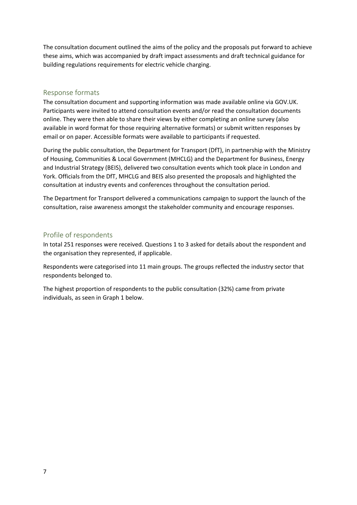The consultation document outlined the aims of the policy and the proposals put forward to achieve these aims, which was accompanied by draft impact assessments and draft technical guidance for building regulations requirements for electric vehicle charging.

#### <span id="page-6-0"></span>Response formats

The consultation document and supporting information was made available online via GOV.UK. Participants were invited to attend consultation events and/or read the consultation documents online. They were then able to share their views by either completing an online survey (also available in word format for those requiring alternative formats) or submit written responses by email or on paper. Accessible formats were available to participants if requested.

During the public consultation, the Department for Transport (DfT), in partnership with the Ministry of Housing, Communities & Local Government (MHCLG) and the Department for Business, Energy and Industrial Strategy (BEIS), delivered two consultation events which took place in London and York. Officials from the DfT, MHCLG and BEIS also presented the proposals and highlighted the consultation at industry events and conferences throughout the consultation period.

The Department for Transport delivered a communications campaign to support the launch of the consultation, raise awareness amongst the stakeholder community and encourage responses.

#### <span id="page-6-1"></span>Profile of respondents

In total 251 responses were received. Questions 1 to 3 asked for details about the respondent and the organisation they represented, if applicable.

Respondents were categorised into 11 main groups. The groups reflected the industry sector that respondents belonged to.

The highest proportion of respondents to the public consultation (32%) came from private individuals, as seen in Graph 1 below.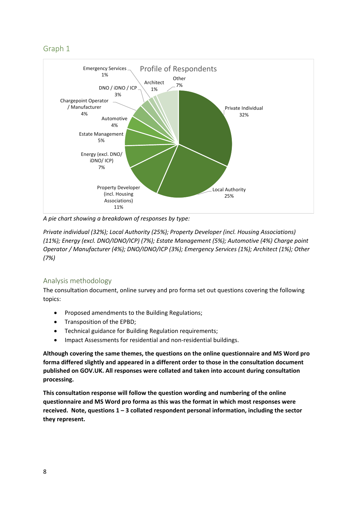# Graph 1



*A pie chart showing a breakdown of responses by type:*

*Private individual (32%); Local Authority (25%); Property Developer (incl. Housing Associations) (11%); Energy (excl. DNO/IDNO/ICP) (7%); Estate Management (5%); Automotive (4%) Charge point Operator / Manufacturer (4%); DNO/IDNO/ICP (3%); Emergency Services (1%); Architect (1%); Other (7%)*

# <span id="page-7-0"></span>Analysis methodology

The consultation document, online survey and pro forma set out questions covering the following topics:

- Proposed amendments to the Building Regulations;
- Transposition of the EPBD;
- Technical guidance for Building Regulation requirements;
- Impact Assessments for residential and non-residential buildings.

**Although covering the same themes, the questions on the online questionnaire and MS Word pro forma differed slightly and appeared in a different order to those in the consultation document published on GOV.UK. All responses were collated and taken into account during consultation processing.** 

**This consultation response will follow the question wording and numbering of the online questionnaire and MS Word pro forma as this was the format in which most responses were received. Note, questions 1 – 3 collated respondent personal information, including the sector they represent.**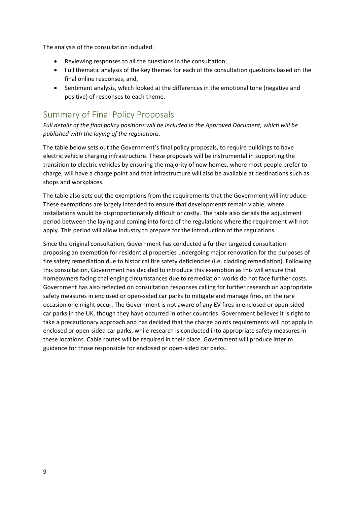The analysis of the consultation included:

- Reviewing responses to all the questions in the consultation;
- Full thematic analysis of the key themes for each of the consultation questions based on the final online responses; and,
- Sentiment analysis, which looked at the differences in the emotional tone (negative and positive) of responses to each theme.

# <span id="page-8-0"></span>Summary of Final Policy Proposals

*Full details of the final policy positions will be included in the Approved Document, which will be published with the laying of the regulations.* 

The table below sets out the Government's final policy proposals, to require buildings to have electric vehicle charging infrastructure. These proposals will be instrumental in supporting the transition to electric vehicles by ensuring the majority of new homes, where most people prefer to charge, will have a charge point and that infrastructure will also be available at destinations such as shops and workplaces.

The table also sets out the exemptions from the requirements that the Government will introduce. These exemptions are largely intended to ensure that developments remain viable, where installations would be disproportionately difficult or costly. The table also details the adjustment period between the laying and coming into force of the regulations where the requirement will not apply. This period will allow industry to prepare for the introduction of the regulations.

Since the original consultation, Government has conducted a further targeted consultation proposing an exemption for residential properties undergoing major renovation for the purposes of fire safety remediation due to historical fire safety deficiencies (i.e. cladding remediation). Following this consultation, Government has decided to introduce this exemption as this will ensure that homeowners facing challenging circumstances due to remediation works do not face further costs. Government has also reflected on consultation responses calling for further research on appropriate safety measures in enclosed or open-sided car parks to mitigate and manage fires, on the rare occasion one might occur. The Government is not aware of any EV fires in enclosed or open-sided car parks in the UK, though they have occurred in other countries. Government believes it is right to take a precautionary approach and has decided that the charge points requirements will not apply in enclosed or open-sided car parks, while research is conducted into appropriate safety measures in these locations. Cable routes will be required in their place. Government will produce interim guidance for those responsible for enclosed or open-sided car parks.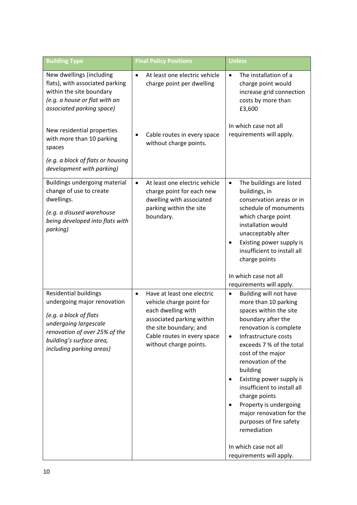| <b>Building Type</b>                                                                                                                                                                                    | <b>Final Policy Positions</b>                                                                                                                                                                             | Unless                                                                                                                                                                                                                                                                                                                                                                                                                                                                 |
|---------------------------------------------------------------------------------------------------------------------------------------------------------------------------------------------------------|-----------------------------------------------------------------------------------------------------------------------------------------------------------------------------------------------------------|------------------------------------------------------------------------------------------------------------------------------------------------------------------------------------------------------------------------------------------------------------------------------------------------------------------------------------------------------------------------------------------------------------------------------------------------------------------------|
| New dwellings (including<br>flats), with associated parking<br>within the site boundary<br>(e.g. a house or flat with an<br>associated parking space)                                                   | At least one electric vehicle<br>$\bullet$<br>charge point per dwelling                                                                                                                                   | The installation of a<br>$\bullet$<br>charge point would<br>increase grid connection<br>costs by more than<br>£3,600                                                                                                                                                                                                                                                                                                                                                   |
| New residential properties<br>with more than 10 parking<br>spaces                                                                                                                                       | Cable routes in every space<br>without charge points.                                                                                                                                                     | In which case not all<br>requirements will apply.                                                                                                                                                                                                                                                                                                                                                                                                                      |
| (e.g. a block of flats or housing<br>development with parking)                                                                                                                                          |                                                                                                                                                                                                           |                                                                                                                                                                                                                                                                                                                                                                                                                                                                        |
| Buildings undergoing material<br>change of use to create<br>dwellings.<br>(e.g. a disused warehouse<br>being developed into flats with<br>parking)                                                      | At least one electric vehicle<br>$\bullet$<br>charge point for each new<br>dwelling with associated<br>parking within the site<br>boundary.                                                               | The buildings are listed<br>$\bullet$<br>buildings, in<br>conservation areas or in<br>schedule of monuments<br>which charge point<br>installation would<br>unacceptably alter<br>Existing power supply is<br>insufficient to install all<br>charge points                                                                                                                                                                                                              |
|                                                                                                                                                                                                         |                                                                                                                                                                                                           | In which case not all<br>requirements will apply.                                                                                                                                                                                                                                                                                                                                                                                                                      |
| <b>Residential buildings</b><br>undergoing major renovation<br>(e.g. a block of flats<br>undergoing largescale<br>renovation of over 25% of the<br>building's surface area,<br>including parking areas) | Have at least one electric<br>$\bullet$<br>vehicle charge point for<br>each dwelling with<br>associated parking within<br>the site boundary; and<br>Cable routes in every space<br>without charge points. | Building will not have<br>$\bullet$<br>more than 10 parking<br>spaces within the site<br>boundary after the<br>renovation is complete<br>Infrastructure costs<br>$\bullet$<br>exceeds 7 % of the total<br>cost of the major<br>renovation of the<br>building<br>Existing power supply is<br>٠<br>insufficient to install all<br>charge points<br>Property is undergoing<br>major renovation for the<br>purposes of fire safety<br>remediation<br>In which case not all |
|                                                                                                                                                                                                         |                                                                                                                                                                                                           | requirements will apply.                                                                                                                                                                                                                                                                                                                                                                                                                                               |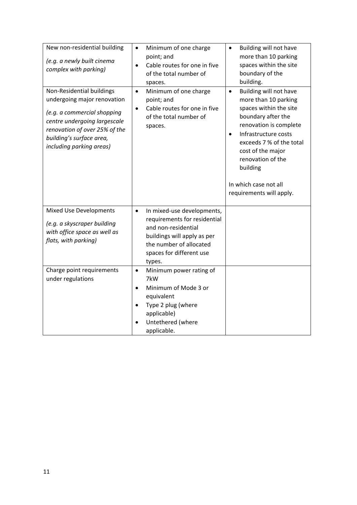| New non-residential building<br>(e.g. a newly built cinema<br>complex with parking)                                                                                                                              | Minimum of one charge<br>$\bullet$<br>point; and<br>Cable routes for one in five<br>$\bullet$<br>of the total number of<br>spaces.                                                             | Building will not have<br>$\bullet$<br>more than 10 parking<br>spaces within the site<br>boundary of the<br>building.                                                                                                                                                                                             |
|------------------------------------------------------------------------------------------------------------------------------------------------------------------------------------------------------------------|------------------------------------------------------------------------------------------------------------------------------------------------------------------------------------------------|-------------------------------------------------------------------------------------------------------------------------------------------------------------------------------------------------------------------------------------------------------------------------------------------------------------------|
| Non-Residential buildings<br>undergoing major renovation<br>(e.g. a commercial shopping<br>centre undergoing largescale<br>renovation of over 25% of the<br>building's surface area,<br>including parking areas) | Minimum of one charge<br>$\bullet$<br>point; and<br>Cable routes for one in five<br>$\bullet$<br>of the total number of<br>spaces.                                                             | Building will not have<br>$\bullet$<br>more than 10 parking<br>spaces within the site<br>boundary after the<br>renovation is complete<br>Infrastructure costs<br>$\bullet$<br>exceeds 7 % of the total<br>cost of the major<br>renovation of the<br>building<br>In which case not all<br>requirements will apply. |
| <b>Mixed Use Developments</b><br>(e.g. a skyscraper building<br>with office space as well as<br>flats, with parking)                                                                                             | In mixed-use developments,<br>$\bullet$<br>requirements for residential<br>and non-residential<br>buildings will apply as per<br>the number of allocated<br>spaces for different use<br>types. |                                                                                                                                                                                                                                                                                                                   |
| Charge point requirements<br>under regulations                                                                                                                                                                   | Minimum power rating of<br>$\bullet$<br>7kW<br>Minimum of Mode 3 or<br>$\bullet$<br>equivalent<br>Type 2 plug (where<br>$\bullet$<br>applicable)<br>Untethered (where<br>applicable.           |                                                                                                                                                                                                                                                                                                                   |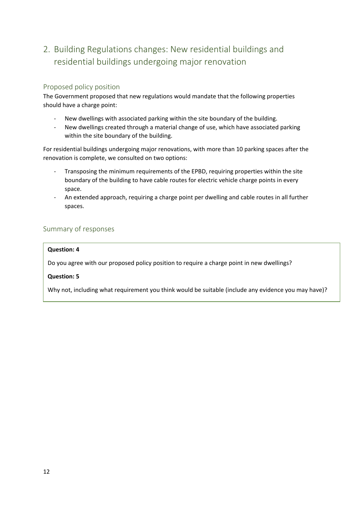# <span id="page-11-0"></span>2. Building Regulations changes: New residential buildings and residential buildings undergoing major renovation

# <span id="page-11-1"></span>Proposed policy position

The Government proposed that new regulations would mandate that the following properties should have a charge point:

- New dwellings with associated parking within the site boundary of the building.
- New dwellings created through a material change of use, which have associated parking within the site boundary of the building.

For residential buildings undergoing major renovations, with more than 10 parking spaces after the renovation is complete, we consulted on two options:

- Transposing the minimum requirements of the EPBD, requiring properties within the site boundary of the building to have cable routes for electric vehicle charge points in every space.
- An extended approach, requiring a charge point per dwelling and cable routes in all further spaces.

# <span id="page-11-2"></span>Summary of responses

### **Question: 4**

Do you agree with our proposed policy position to require a charge point in new dwellings?

# **Question: 5**

Why not, including what requirement you think would be suitable (include any evidence you may have)?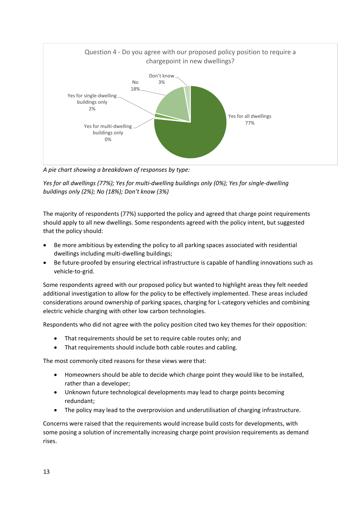

*A pie chart showing a breakdown of responses by type:*

*Yes for all dwellings (77%); Yes for multi-dwelling buildings only (0%); Yes for single-dwelling buildings only (2%); No (18%); Don't know (3%)*

The majority of respondents (77%) supported the policy and agreed that charge point requirements should apply to all new dwellings. Some respondents agreed with the policy intent, but suggested that the policy should:

- Be more ambitious by extending the policy to all parking spaces associated with residential dwellings including multi-dwelling buildings;
- Be future-proofed by ensuring electrical infrastructure is capable of handling innovations such as vehicle-to-grid.

Some respondents agreed with our proposed policy but wanted to highlight areas they felt needed additional investigation to allow for the policy to be effectively implemented. These areas included considerations around ownership of parking spaces, charging for L-category vehicles and combining electric vehicle charging with other low carbon technologies.

Respondents who did not agree with the policy position cited two key themes for their opposition:

- That requirements should be set to require cable routes only; and
- That requirements should include both cable routes and cabling.

The most commonly cited reasons for these views were that:

- Homeowners should be able to decide which charge point they would like to be installed, rather than a developer;
- Unknown future technological developments may lead to charge points becoming redundant;
- The policy may lead to the overprovision and underutilisation of charging infrastructure.

Concerns were raised that the requirements would increase build costs for developments, with some posing a solution of incrementally increasing charge point provision requirements as demand rises.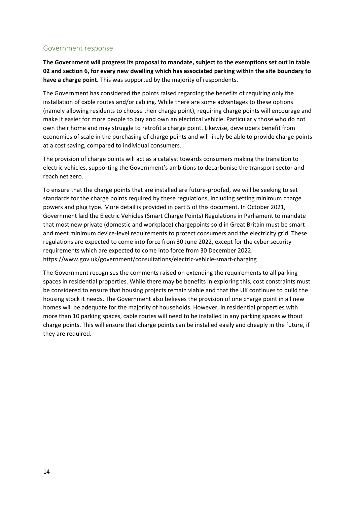### Government response

**The Government will progress its proposal to mandate, subject to the exemptions set out in table 02 and section 6, for every new dwelling which has associated parking within the site boundary to have a charge point.** This was supported by the majority of respondents.

The Government has considered the points raised regarding the benefits of requiring only the installation of cable routes and/or cabling. While there are some advantages to these options (namely allowing residents to choose their charge point), requiring charge points will encourage and make it easier for more people to buy and own an electrical vehicle. Particularly those who do not own their home and may struggle to retrofit a charge point. Likewise, developers benefit from economies of scale in the purchasing of charge points and will likely be able to provide charge points at a cost saving, compared to individual consumers.

The provision of charge points will act as a catalyst towards consumers making the transition to electric vehicles, supporting the Government's ambitions to decarbonise the transport sector and reach net zero.

To ensure that the charge points that are installed are future-proofed, we will be seeking to set standards for the charge points required by these regulations, including setting minimum charge powers and plug type. More detail is provided in part 5 of this document. In October 2021, Government laid the Electric Vehicles (Smart Charge Points) Regulations in Parliament to mandate that most new private (domestic and workplace) chargepoints sold in Great Britain must be smart and meet minimum device-level requirements to protect consumers and the electricity grid. These regulations are expected to come into force from 30 June 2022, except for the cyber security requirements which are expected to come into force from 30 December 2022. https://www.gov.uk/government/consultations/electric-vehicle-smart-charging

The Government recognises the comments raised on extending the requirements to all parking spaces in residential properties. While there may be benefits in exploring this, cost constraints must be considered to ensure that housing projects remain viable and that the UK continues to build the housing stock it needs. The Government also believes the provision of one charge point in all new homes will be adequate for the majority of households. However, in residential properties with more than 10 parking spaces, cable routes will need to be installed in any parking spaces without charge points. This will ensure that charge points can be installed easily and cheaply in the future, if they are required.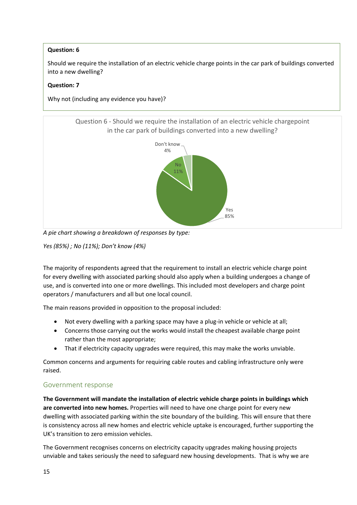# **Question: 6**

Should we require the installation of an electric vehicle charge points in the car park of buildings converted into a new dwelling?

#### **Question: 7**

Why not (including any evidence you have)?

Question 6 - Should we require the installation of an electric vehicle chargepoint in the car park of buildings converted into a new dwelling?



*A pie chart showing a breakdown of responses by type:*

*Yes (85%) ; No (11%); Don't know (4%)*

The majority of respondents agreed that the requirement to install an electric vehicle charge point for every dwelling with associated parking should also apply when a building undergoes a change of use, and is converted into one or more dwellings. This included most developers and charge point operators / manufacturers and all but one local council.

The main reasons provided in opposition to the proposal included:

- Not every dwelling with a parking space may have a plug-in vehicle or vehicle at all;
- Concerns those carrying out the works would install the cheapest available charge point rather than the most appropriate;
- That if electricity capacity upgrades were required, this may make the works unviable.

Common concerns and arguments for requiring cable routes and cabling infrastructure only were raised.

# Government response

**The Government will mandate the installation of electric vehicle charge points in buildings which are converted into new homes.** Properties will need to have one charge point for every new dwelling with associated parking within the site boundary of the building. This will ensure that there is consistency across all new homes and electric vehicle uptake is encouraged, further supporting the UK's transition to zero emission vehicles.

The Government recognises concerns on electricity capacity upgrades making housing projects unviable and takes seriously the need to safeguard new housing developments. That is why we are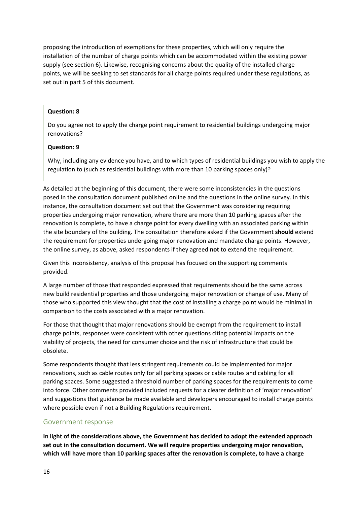proposing the introduction of exemptions for these properties, which will only require the installation of the number of charge points which can be accommodated within the existing power supply (see section 6). Likewise, recognising concerns about the quality of the installed charge points, we will be seeking to set standards for all charge points required under these regulations, as set out in part 5 of this document.

#### **Question: 8**

Do you agree not to apply the charge point requirement to residential buildings undergoing major renovations?

#### **Question: 9**

Why, including any evidence you have, and to which types of residential buildings you wish to apply the regulation to (such as residential buildings with more than 10 parking spaces only)?

As detailed at the beginning of this document, there were some inconsistencies in the questions posed in the consultation document published online and the questions in the online survey. In this instance, the consultation document set out that the Government was considering requiring properties undergoing major renovation, where there are more than 10 parking spaces after the renovation is complete, to have a charge point for every dwelling with an associated parking within the site boundary of the building. The consultation therefore asked if the Government **should** extend the requirement for properties undergoing major renovation and mandate charge points. However, the online survey, as above, asked respondents if they agreed **not** to extend the requirement.

Given this inconsistency, analysis of this proposal has focused on the supporting comments provided.

A large number of those that responded expressed that requirements should be the same across new build residential properties and those undergoing major renovation or change of use. Many of those who supported this view thought that the cost of installing a charge point would be minimal in comparison to the costs associated with a major renovation.

For those that thought that major renovations should be exempt from the requirement to install charge points, responses were consistent with other questions citing potential impacts on the viability of projects, the need for consumer choice and the risk of infrastructure that could be obsolete.

Some respondents thought that less stringent requirements could be implemented for major renovations, such as cable routes only for all parking spaces or cable routes and cabling for all parking spaces. Some suggested a threshold number of parking spaces for the requirements to come into force. Other comments provided included requests for a clearer definition of 'major renovation' and suggestions that guidance be made available and developers encouraged to install charge points where possible even if not a Building Regulations requirement.

#### Government response

**In light of the considerations above, the Government has decided to adopt the extended approach set out in the consultation document. We will require properties undergoing major renovation, which will have more than 10 parking spaces after the renovation is complete, to have a charge**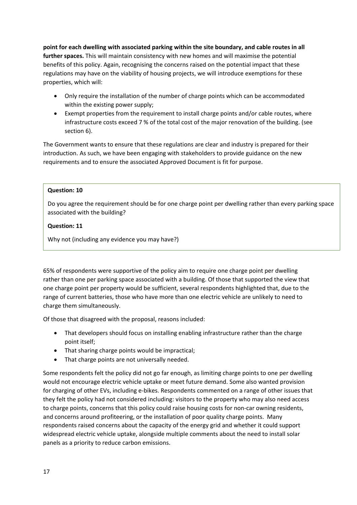**point for each dwelling with associated parking within the site boundary, and cable routes in all further spaces.** This will maintain consistency with new homes and will maximise the potential benefits of this policy. Again, recognising the concerns raised on the potential impact that these regulations may have on the viability of housing projects, we will introduce exemptions for these properties, which will:

- Only require the installation of the number of charge points which can be accommodated within the existing power supply;
- Exempt properties from the requirement to install charge points and/or cable routes, where infrastructure costs exceed 7 % of the total cost of the major renovation of the building. (see section 6).

The Government wants to ensure that these regulations are clear and industry is prepared for their introduction. As such, we have been engaging with stakeholders to provide guidance on the new requirements and to ensure the associated Approved Document is fit for purpose.

#### **Question: 10**

Do you agree the requirement should be for one charge point per dwelling rather than every parking space associated with the building?

#### **Question: 11**

Why not (including any evidence you may have?)

65% of respondents were supportive of the policy aim to require one charge point per dwelling rather than one per parking space associated with a building. Of those that supported the view that one charge point per property would be sufficient, several respondents highlighted that, due to the range of current batteries, those who have more than one electric vehicle are unlikely to need to charge them simultaneously.

Of those that disagreed with the proposal, reasons included:

- That developers should focus on installing enabling infrastructure rather than the charge point itself;
- That sharing charge points would be impractical;
- That charge points are not universally needed.

Some respondents felt the policy did not go far enough, as limiting charge points to one per dwelling would not encourage electric vehicle uptake or meet future demand. Some also wanted provision for charging of other EVs, including e-bikes. Respondents commented on a range of other issues that they felt the policy had not considered including: visitors to the property who may also need access to charge points, concerns that this policy could raise housing costs for non-car owning residents, and concerns around profiteering, or the installation of poor quality charge points. Many respondents raised concerns about the capacity of the energy grid and whether it could support widespread electric vehicle uptake, alongside multiple comments about the need to install solar panels as a priority to reduce carbon emissions.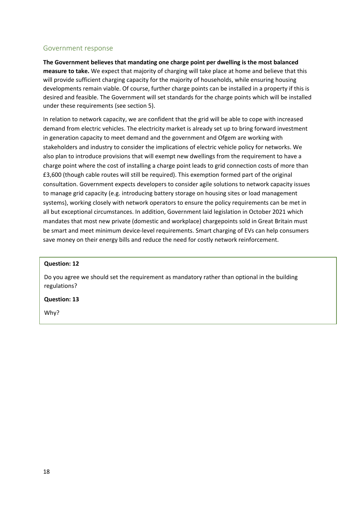#### Government response

**The Government believes that mandating one charge point per dwelling is the most balanced measure to take.** We expect that majority of charging will take place at home and believe that this will provide sufficient charging capacity for the majority of households, while ensuring housing developments remain viable. Of course, further charge points can be installed in a property if this is desired and feasible. The Government will set standards for the charge points which will be installed under these requirements (see section 5).

In relation to network capacity, we are confident that the grid will be able to cope with increased demand from electric vehicles. The electricity market is already set up to bring forward investment in generation capacity to meet demand and the government and Ofgem are working with stakeholders and industry to consider the implications of electric vehicle policy for networks. We also plan to introduce provisions that will exempt new dwellings from the requirement to have a charge point where the cost of installing a charge point leads to grid connection costs of more than £3,600 (though cable routes will still be required). This exemption formed part of the original consultation. Government expects developers to consider agile solutions to network capacity issues to manage grid capacity (e.g. introducing battery storage on housing sites or load management systems), working closely with network operators to ensure the policy requirements can be met in all but exceptional circumstances. In addition, Government laid legislation in October 2021 which mandates that most new private (domestic and workplace) chargepoints sold in Great Britain must be smart and meet minimum device-level requirements. Smart charging of EVs can help consumers save money on their energy bills and reduce the need for costly network reinforcement.

#### **Question: 12**

Do you agree we should set the requirement as mandatory rather than optional in the building regulations?

#### **Question: 13**

Why?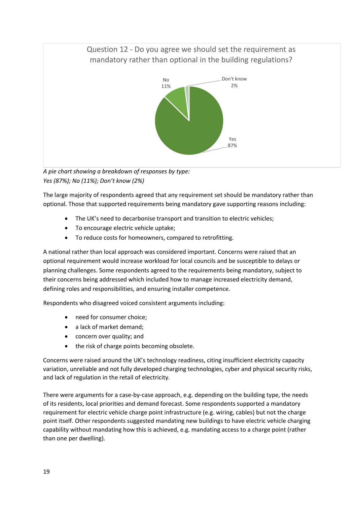# Question 12 - Do you agree we should set the requirement as mandatory rather than optional in the building regulations? Yes 87% No 11% Don't know 2%

*A pie chart showing a breakdown of responses by type: Yes (87%); No (11%); Don't know (2%)*

The large majority of respondents agreed that any requirement set should be mandatory rather than optional. Those that supported requirements being mandatory gave supporting reasons including:

- The UK's need to decarbonise transport and transition to electric vehicles;
- To encourage electric vehicle uptake;
- To reduce costs for homeowners, compared to retrofitting.

A national rather than local approach was considered important. Concerns were raised that an optional requirement would increase workload for local councils and be susceptible to delays or planning challenges. Some respondents agreed to the requirements being mandatory, subject to their concerns being addressed which included how to manage increased electricity demand, defining roles and responsibilities, and ensuring installer competence.

Respondents who disagreed voiced consistent arguments including:

- need for consumer choice;
- a lack of market demand;
- concern over quality; and
- the risk of charge points becoming obsolete.

Concerns were raised around the UK's technology readiness, citing insufficient electricity capacity variation, unreliable and not fully developed charging technologies, cyber and physical security risks, and lack of regulation in the retail of electricity.

There were arguments for a case-by-case approach, e.g. depending on the building type, the needs of its residents, local priorities and demand forecast. Some respondents supported a mandatory requirement for electric vehicle charge point infrastructure (e.g. wiring, cables) but not the charge point itself. Other respondents suggested mandating new buildings to have electric vehicle charging capability without mandating how this is achieved, e.g. mandating access to a charge point (rather than one per dwelling).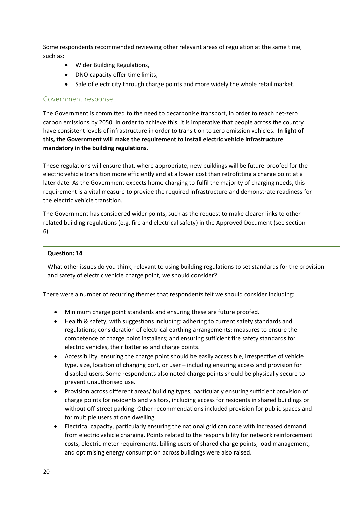Some respondents recommended reviewing other relevant areas of regulation at the same time, such as:

- Wider Building Regulations,
- DNO capacity offer time limits,
- Sale of electricity through charge points and more widely the whole retail market.

# Government response

The Government is committed to the need to decarbonise transport, in order to reach net-zero carbon emissions by 2050. In order to achieve this, it is imperative that people across the country have consistent levels of infrastructure in order to transition to zero emission vehicles. **In light of this, the Government will make the requirement to install electric vehicle infrastructure mandatory in the building regulations.** 

These regulations will ensure that, where appropriate, new buildings will be future-proofed for the electric vehicle transition more efficiently and at a lower cost than retrofitting a charge point at a later date. As the Government expects home charging to fulfil the majority of charging needs, this requirement is a vital measure to provide the required infrastructure and demonstrate readiness for the electric vehicle transition.

The Government has considered wider points, such as the request to make clearer links to other related building regulations (e.g. fire and electrical safety) in the Approved Document (see section 6).

#### **Question: 14**

What other issues do you think, relevant to using building regulations to set standards for the provision and safety of electric vehicle charge point, we should consider?

There were a number of recurring themes that respondents felt we should consider including:

- Minimum charge point standards and ensuring these are future proofed.
- Health & safety, with suggestions including: adhering to current safety standards and regulations; consideration of electrical earthing arrangements; measures to ensure the competence of charge point installers; and ensuring sufficient fire safety standards for electric vehicles, their batteries and charge points.
- Accessibility, ensuring the charge point should be easily accessible, irrespective of vehicle type, size, location of charging port, or user – including ensuring access and provision for disabled users. Some respondents also noted charge points should be physically secure to prevent unauthorised use.
- Provision across different areas/ building types, particularly ensuring sufficient provision of charge points for residents and visitors, including access for residents in shared buildings or without off-street parking. Other recommendations included provision for public spaces and for multiple users at one dwelling.
- Electrical capacity, particularly ensuring the national grid can cope with increased demand from electric vehicle charging. Points related to the responsibility for network reinforcement costs, electric meter requirements, billing users of shared charge points, load management, and optimising energy consumption across buildings were also raised.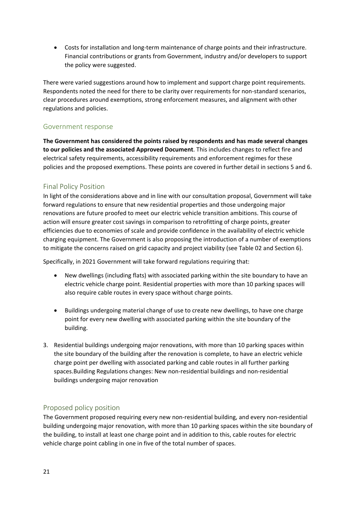• Costs for installation and long-term maintenance of charge points and their infrastructure. Financial contributions or grants from Government, industry and/or developers to support the policy were suggested.

There were varied suggestions around how to implement and support charge point requirements. Respondents noted the need for there to be clarity over requirements for non-standard scenarios, clear procedures around exemptions, strong enforcement measures, and alignment with other regulations and policies.

# Government response

**The Government has considered the points raised by respondents and has made several changes to our policies and the associated Approved Document**. This includes changes to reflect fire and electrical safety requirements, accessibility requirements and enforcement regimes for these policies and the proposed exemptions. These points are covered in further detail in sections 5 and 6.

# <span id="page-20-0"></span>Final Policy Position

In light of the considerations above and in line with our consultation proposal, Government will take forward regulations to ensure that new residential properties and those undergoing major renovations are future proofed to meet our electric vehicle transition ambitions. This course of action will ensure greater cost savings in comparison to retrofitting of charge points, greater efficiencies due to economies of scale and provide confidence in the availability of electric vehicle charging equipment. The Government is also proposing the introduction of a number of exemptions to mitigate the concerns raised on grid capacity and project viability (see Table 02 and Section 6).

Specifically, in 2021 Government will take forward regulations requiring that:

- New dwellings (including flats) with associated parking within the site boundary to have an electric vehicle charge point. Residential properties with more than 10 parking spaces will also require cable routes in every space without charge points.
- Buildings undergoing material change of use to create new dwellings, to have one charge point for every new dwelling with associated parking within the site boundary of the building.
- 3. Residential buildings undergoing major renovations, with more than 10 parking spaces within the site boundary of the building after the renovation is complete, to have an electric vehicle charge point per dwelling with associated parking and cable routes in all further parking spaces.Building Regulations changes: New non-residential buildings and non-residential buildings undergoing major renovation

# <span id="page-20-1"></span>Proposed policy position

The Government proposed requiring every new non-residential building, and every non-residential building undergoing major renovation, with more than 10 parking spaces within the site boundary of the building, to install at least one charge point and in addition to this, cable routes for electric vehicle charge point cabling in one in five of the total number of spaces.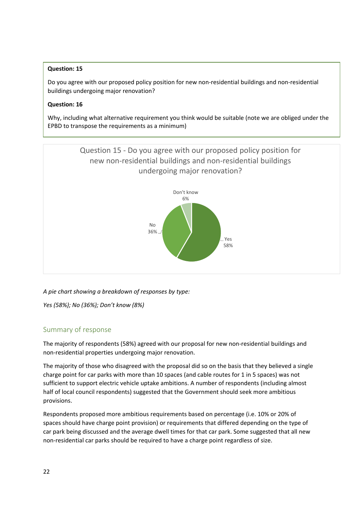### **Question: 15**

Do you agree with our proposed policy position for new non-residential buildings and non-residential buildings undergoing major renovation?

#### **Question: 16**

Why, including what alternative requirement you think would be suitable (note we are obliged under the EPBD to transpose the requirements as a minimum)



*A pie chart showing a breakdown of responses by type:*

*Yes (58%); No (36%); Don't know (8%)*

# Summary of response

The majority of respondents (58%) agreed with our proposal for new non-residential buildings and non-residential properties undergoing major renovation.

The majority of those who disagreed with the proposal did so on the basis that they believed a single charge point for car parks with more than 10 spaces (and cable routes for 1 in 5 spaces) was not sufficient to support electric vehicle uptake ambitions. A number of respondents (including almost half of local council respondents) suggested that the Government should seek more ambitious provisions.

Respondents proposed more ambitious requirements based on percentage (i.e. 10% or 20% of spaces should have charge point provision) or requirements that differed depending on the type of car park being discussed and the average dwell times for that car park. Some suggested that all new non-residential car parks should be required to have a charge point regardless of size.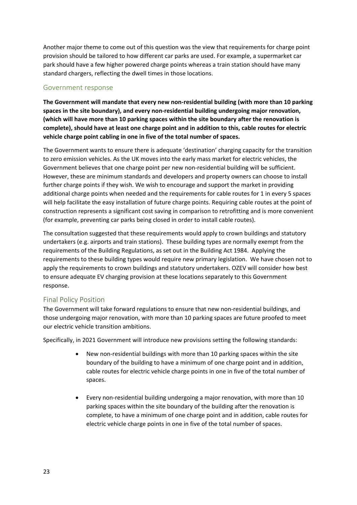Another major theme to come out of this question was the view that requirements for charge point provision should be tailored to how different car parks are used. For example, a supermarket car park should have a few higher powered charge points whereas a train station should have many standard chargers, reflecting the dwell times in those locations.

# Government response

**The Government will mandate that every new non-residential building (with more than 10 parking spaces in the site boundary), and every non-residential building undergoing major renovation, (which will have more than 10 parking spaces within the site boundary after the renovation is complete), should have at least one charge point and in addition to this, cable routes for electric vehicle charge point cabling in one in five of the total number of spaces.**

The Government wants to ensure there is adequate 'destination' charging capacity for the transition to zero emission vehicles. As the UK moves into the early mass market for electric vehicles, the Government believes that one charge point per new non-residential building will be sufficient. However, these are minimum standards and developers and property owners can choose to install further charge points if they wish. We wish to encourage and support the market in providing additional charge points when needed and the requirements for cable routes for 1 in every 5 spaces will help facilitate the easy installation of future charge points. Requiring cable routes at the point of construction represents a significant cost saving in comparison to retrofitting and is more convenient (for example, preventing car parks being closed in order to install cable routes).

The consultation suggested that these requirements would apply to crown buildings and statutory undertakers (e.g. airports and train stations). These building types are normally exempt from the requirements of the Building Regulations, as set out in the Building Act 1984. Applying the requirements to these building types would require new primary legislation. We have chosen not to apply the requirements to crown buildings and statutory undertakers. OZEV will consider how best to ensure adequate EV charging provision at these locations separately to this Government response.

# <span id="page-22-0"></span>Final Policy Position

The Government will take forward regulations to ensure that new non-residential buildings, and those undergoing major renovation, with more than 10 parking spaces are future proofed to meet our electric vehicle transition ambitions.

Specifically, in 2021 Government will introduce new provisions setting the following standards:

- New non-residential buildings with more than 10 parking spaces within the site boundary of the building to have a minimum of one charge point and in addition, cable routes for electric vehicle charge points in one in five of the total number of spaces.
- Every non-residential building undergoing a major renovation, with more than 10 parking spaces within the site boundary of the building after the renovation is complete, to have a minimum of one charge point and in addition, cable routes for electric vehicle charge points in one in five of the total number of spaces.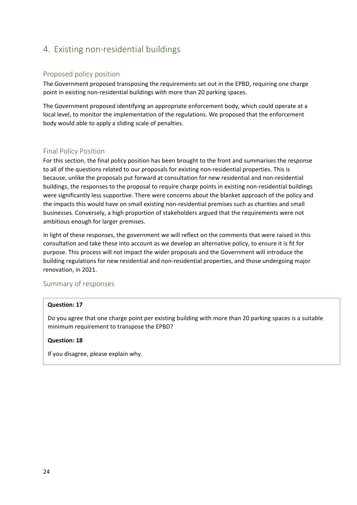# <span id="page-23-0"></span>4. Existing non-residential buildings

# <span id="page-23-1"></span>Proposed policy position

The Government proposed transposing the requirements set out in the EPBD, requiring one charge point in existing non-residential buildings with more than 20 parking spaces.

The Government proposed identifying an appropriate enforcement body, which could operate at a local level, to monitor the implementation of the regulations. We proposed that the enforcement body would able to apply a sliding scale of penalties.

# <span id="page-23-2"></span>Final Policy Position

For this section, the final policy position has been brought to the front and summarises the response to all of the questions related to our proposals for existing non-residential properties. This is because, unlike the proposals put forward at consultation for new residential and non-residential buildings, the responses to the proposal to require charge points in existing non-residential buildings were significantly less supportive. There were concerns about the blanket approach of the policy and the impacts this would have on small existing non-residential premises such as charities and small businesses. Conversely, a high proportion of stakeholders argued that the requirements were not ambitious enough for larger premises.

In light of these responses, the government we will reflect on the comments that were raised in this consultation and take these into account as we develop an alternative policy, to ensure it is fit for purpose. This process will not impact the wider proposals and the Government will introduce the building regulations for new residential and non-residential properties, and those undergoing major renovation, in 2021.

# <span id="page-23-3"></span>Summary of responses

#### **Question: 17**

Do you agree that one charge point per existing building with more than 20 parking spaces is a suitable minimum requirement to transpose the EPBD?

# **Question: 18**

If you disagree, please explain why.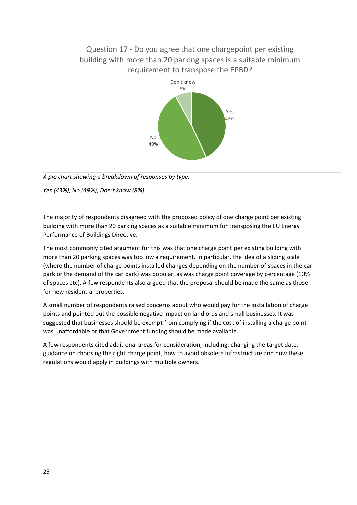

*A pie chart showing a breakdown of responses by type:*

*Yes (43%); No (49%); Don't know (8%)*

The majority of respondents disagreed with the proposed policy of one charge point per existing building with more than 20 parking spaces as a suitable minimum for transposing the EU Energy Performance of Buildings Directive.

The most commonly cited argument for this was that one charge point per existing building with more than 20 parking spaces was too low a requirement. In particular, the idea of a sliding scale (where the number of charge points installed changes depending on the number of spaces in the car park or the demand of the car park) was popular, as was charge point coverage by percentage (10% of spaces etc). A few respondents also argued that the proposal should be made the same as those for new residential properties.

A small number of respondents raised concerns about who would pay for the installation of charge points and pointed out the possible negative impact on landlords and small businesses. It was suggested that businesses should be exempt from complying if the cost of installing a charge point was unaffordable or that Government funding should be made available.

A few respondents cited additional areas for consideration, including: changing the target date, guidance on choosing the right charge point, how to avoid obsolete infrastructure and how these regulations would apply in buildings with multiple owners.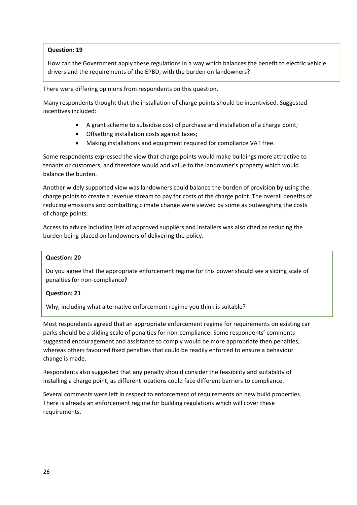#### **Question: 19**

How can the Government apply these regulations in a way which balances the benefit to electric vehicle drivers and the requirements of the EPBD, with the burden on landowners?

There were differing opinions from respondents on this question.

Many respondents thought that the installation of charge points should be incentivised. Suggested incentives included:

- A grant scheme to subsidise cost of purchase and installation of a charge point;
- Offsetting installation costs against taxes;
- Making installations and equipment required for compliance VAT free.

Some respondents expressed the view that charge points would make buildings more attractive to tenants or customers, and therefore would add value to the landowner's property which would balance the burden.

Another widely supported view was landowners could balance the burden of provision by using the charge points to create a revenue stream to pay for costs of the charge point. The overall benefits of reducing emissions and combatting climate change were viewed by some as outweighing the costs of charge points.

Access to advice including lists of approved suppliers and installers was also cited as reducing the burden being placed on landowners of delivering the policy.

#### **Question: 20**

Do you agree that the appropriate enforcement regime for this power should see a sliding scale of penalties for non-compliance?

#### **Question: 21**

Why, including what alternative enforcement regime you think is suitable?

Most respondents agreed that an appropriate enforcement regime for requirements on existing car parks should be a sliding scale of penalties for non-compliance. Some respondents' comments suggested encouragement and assistance to comply would be more appropriate then penalties, whereas others favoured fixed penalties that could be readily enforced to ensure a behaviour change is made.

Respondents also suggested that any penalty should consider the feasibility and suitability of installing a charge point, as different locations could face different barriers to compliance.

Several comments were left in respect to enforcement of requirements on new build properties. There is already an enforcement regime for building regulations which will cover these requirements.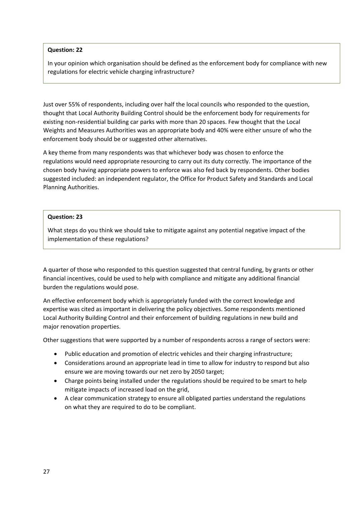#### **Question: 22**

In your opinion which organisation should be defined as the enforcement body for compliance with new regulations for electric vehicle charging infrastructure?

Just over 55% of respondents, including over half the local councils who responded to the question, thought that Local Authority Building Control should be the enforcement body for requirements for existing non-residential building car parks with more than 20 spaces. Few thought that the Local Weights and Measures Authorities was an appropriate body and 40% were either unsure of who the enforcement body should be or suggested other alternatives.

A key theme from many respondents was that whichever body was chosen to enforce the regulations would need appropriate resourcing to carry out its duty correctly. The importance of the chosen body having appropriate powers to enforce was also fed back by respondents. Other bodies suggested included: an independent regulator, the Office for Product Safety and Standards and Local Planning Authorities.

#### **Question: 23**

What steps do you think we should take to mitigate against any potential negative impact of the implementation of these regulations?

A quarter of those who responded to this question suggested that central funding, by grants or other financial incentives, could be used to help with compliance and mitigate any additional financial burden the regulations would pose.

An effective enforcement body which is appropriately funded with the correct knowledge and expertise was cited as important in delivering the policy objectives. Some respondents mentioned Local Authority Building Control and their enforcement of building regulations in new build and major renovation properties.

Other suggestions that were supported by a number of respondents across a range of sectors were:

- Public education and promotion of electric vehicles and their charging infrastructure;
- Considerations around an appropriate lead in time to allow for industry to respond but also ensure we are moving towards our net zero by 2050 target;
- Charge points being installed under the regulations should be required to be smart to help mitigate impacts of increased load on the grid,
- A clear communication strategy to ensure all obligated parties understand the regulations on what they are required to do to be compliant.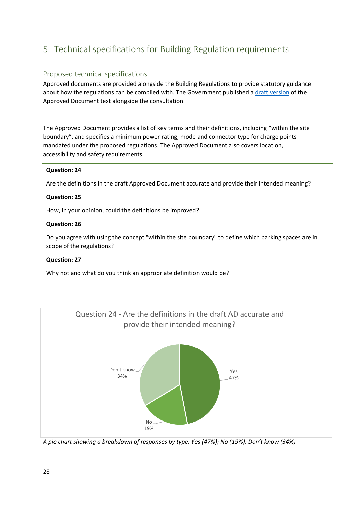# <span id="page-27-0"></span>5. Technical specifications for Building Regulation requirements

# <span id="page-27-1"></span>Proposed technical specifications

Approved documents are provided alongside the Building Regulations to provide statutory guidance about how the regulations can be complied with. The Government published [a draft version](https://assets.publishing.service.gov.uk/government/uploads/system/uploads/attachment_data/file/816913/Annex_C_-_Draft_Technical_Guidance.pdf) of the Approved Document text alongside the consultation.

The Approved Document provides a list of key terms and their definitions, including "within the site boundary", and specifies a minimum power rating, mode and connector type for charge points mandated under the proposed regulations. The Approved Document also covers location, accessibility and safety requirements.

#### **Question: 24**

Are the definitions in the draft Approved Document accurate and provide their intended meaning?

#### **Question: 25**

How, in your opinion, could the definitions be improved?

#### **Question: 26**

Do you agree with using the concept "within the site boundary" to define which parking spaces are in scope of the regulations?

#### **Question: 27**

Why not and what do you think an appropriate definition would be?



*A pie chart showing a breakdown of responses by type: Yes (47%); No (19%); Don't know (34%)*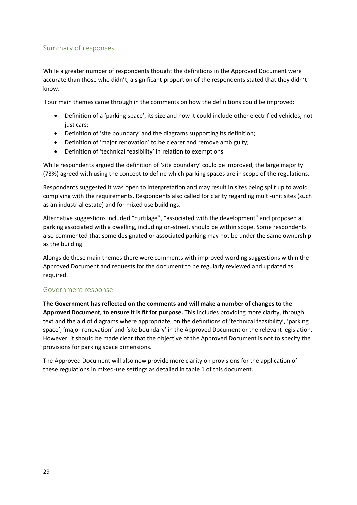# Summary of responses

While a greater number of respondents thought the definitions in the Approved Document were accurate than those who didn't, a significant proportion of the respondents stated that they didn't know.

Four main themes came through in the comments on how the definitions could be improved:

- Definition of a 'parking space', its size and how it could include other electrified vehicles, not just cars;
- Definition of 'site boundary' and the diagrams supporting its definition;
- Definition of 'major renovation' to be clearer and remove ambiguity;
- Definition of 'technical feasibility' in relation to exemptions.

While respondents argued the definition of 'site boundary' could be improved, the large majority (73%) agreed with using the concept to define which parking spaces are in scope of the regulations.

Respondents suggested it was open to interpretation and may result in sites being split up to avoid complying with the requirements. Respondents also called for clarity regarding multi-unit sites (such as an industrial estate) and for mixed use buildings.

Alternative suggestions included "curtilage", "associated with the development" and proposed all parking associated with a dwelling, including on-street, should be within scope. Some respondents also commented that some designated or associated parking may not be under the same ownership as the building.

Alongside these main themes there were comments with improved wording suggestions within the Approved Document and requests for the document to be regularly reviewed and updated as required.

# Government response

**The Government has reflected on the comments and will make a number of changes to the Approved Document, to ensure it is fit for purpose.** This includes providing more clarity, through text and the aid of diagrams where appropriate, on the definitions of 'technical feasibility', 'parking space', 'major renovation' and 'site boundary' in the Approved Document or the relevant legislation. However, it should be made clear that the objective of the Approved Document is not to specify the provisions for parking space dimensions.

The Approved Document will also now provide more clarity on provisions for the application of these regulations in mixed-use settings as detailed in table 1 of this document.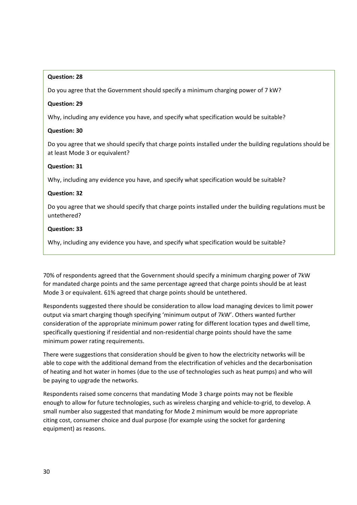### **Question: 28**

Do you agree that the Government should specify a minimum charging power of 7 kW?

#### **Question: 29**

Why, including any evidence you have, and specify what specification would be suitable?

#### **Question: 30**

Do you agree that we should specify that charge points installed under the building regulations should be at least Mode 3 or equivalent?

#### **Question: 31**

Why, including any evidence you have, and specify what specification would be suitable?

#### **Question: 32**

Do you agree that we should specify that charge points installed under the building regulations must be untethered?

#### **Question: 33**

Why, including any evidence you have, and specify what specification would be suitable?

70% of respondents agreed that the Government should specify a minimum charging power of 7kW for mandated charge points and the same percentage agreed that charge points should be at least Mode 3 or equivalent. 61% agreed that charge points should be untethered.

Respondents suggested there should be consideration to allow load managing devices to limit power output via smart charging though specifying 'minimum output of 7kW'. Others wanted further consideration of the appropriate minimum power rating for different location types and dwell time, specifically questioning if residential and non-residential charge points should have the same minimum power rating requirements.

There were suggestions that consideration should be given to how the electricity networks will be able to cope with the additional demand from the electrification of vehicles and the decarbonisation of heating and hot water in homes (due to the use of technologies such as heat pumps) and who will be paying to upgrade the networks.

Respondents raised some concerns that mandating Mode 3 charge points may not be flexible enough to allow for future technologies, such as wireless charging and vehicle-to-grid, to develop. A small number also suggested that mandating for Mode 2 minimum would be more appropriate citing cost, consumer choice and dual purpose (for example using the socket for gardening equipment) as reasons.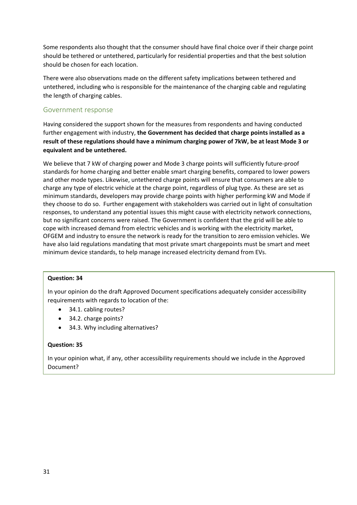Some respondents also thought that the consumer should have final choice over if their charge point should be tethered or untethered, particularly for residential properties and that the best solution should be chosen for each location.

There were also observations made on the different safety implications between tethered and untethered, including who is responsible for the maintenance of the charging cable and regulating the length of charging cables.

# Government response

Having considered the support shown for the measures from respondents and having conducted further engagement with industry, **the Government has decided that charge points installed as a result of these regulations should have a minimum charging power of 7kW, be at least Mode 3 or equivalent and be untethered.**

We believe that 7 kW of charging power and Mode 3 charge points will sufficiently future-proof standards for home charging and better enable smart charging benefits, compared to lower powers and other mode types. Likewise, untethered charge points will ensure that consumers are able to charge any type of electric vehicle at the charge point, regardless of plug type. As these are set as minimum standards, developers may provide charge points with higher performing kW and Mode if they choose to do so. Further engagement with stakeholders was carried out in light of consultation responses, to understand any potential issues this might cause with electricity network connections, but no significant concerns were raised. The Government is confident that the grid will be able to cope with increased demand from electric vehicles and is working with the electricity market, OFGEM and industry to ensure the network is ready for the transition to zero emission vehicles. We have also laid regulations mandating that most private smart chargepoints must be smart and meet minimum device standards, to help manage increased electricity demand from EVs.

#### **Question: 34**

In your opinion do the draft Approved Document specifications adequately consider accessibility requirements with regards to location of the:

- 34.1. cabling routes?
- 34.2. charge points?
- 34.3. Why including alternatives?

#### **Question: 35**

In your opinion what, if any, other accessibility requirements should we include in the Approved Document?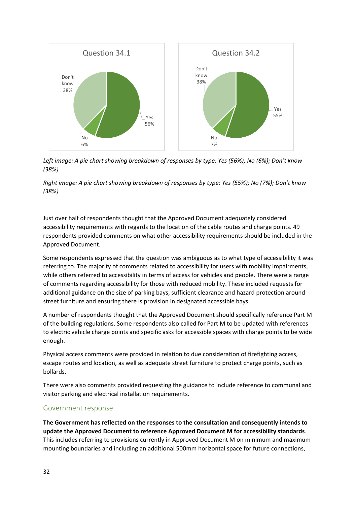

*Left image: A pie chart showing breakdown of responses by type: Yes (56%); No (6%); Don't know (38%)*

*Right image: A pie chart showing breakdown of responses by type: Yes (55%); No (7%); Don't know (38%)*

Just over half of respondents thought that the Approved Document adequately considered accessibility requirements with regards to the location of the cable routes and charge points. 49 respondents provided comments on what other accessibility requirements should be included in the Approved Document.

Some respondents expressed that the question was ambiguous as to what type of accessibility it was referring to. The majority of comments related to accessibility for users with mobility impairments, while others referred to accessibility in terms of access for vehicles and people. There were a range of comments regarding accessibility for those with reduced mobility. These included requests for additional guidance on the size of parking bays, sufficient clearance and hazard protection around street furniture and ensuring there is provision in designated accessible bays.

A number of respondents thought that the Approved Document should specifically reference Part M of the building regulations. Some respondents also called for Part M to be updated with references to electric vehicle charge points and specific asks for accessible spaces with charge points to be wide enough.

Physical access comments were provided in relation to due consideration of firefighting access, escape routes and location, as well as adequate street furniture to protect charge points, such as bollards.

There were also comments provided requesting the guidance to include reference to communal and visitor parking and electrical installation requirements.

# Government response

**The Government has reflected on the responses to the consultation and consequently intends to update the Approved Document to reference Approved Document M for accessibility standards**. This includes referring to provisions currently in Approved Document M on minimum and maximum mounting boundaries and including an additional 500mm horizontal space for future connections,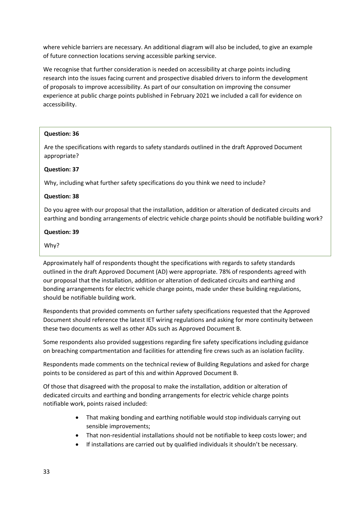where vehicle barriers are necessary. An additional diagram will also be included, to give an example of future connection locations serving accessible parking service.

We recognise that further consideration is needed on accessibility at charge points including research into the issues facing current and prospective disabled drivers to inform the development of proposals to improve accessibility. As part of our consultation on improving the consumer experience at public charge points published in February 2021 we included a call for evidence on accessibility.

#### **Question: 36**

Are the specifications with regards to safety standards outlined in the draft Approved Document appropriate?

#### **Question: 37**

Why, including what further safety specifications do you think we need to include?

#### **Question: 38**

Do you agree with our proposal that the installation, addition or alteration of dedicated circuits and earthing and bonding arrangements of electric vehicle charge points should be notifiable building work?

#### **Question: 39**

Why?

Approximately half of respondents thought the specifications with regards to safety standards outlined in the draft Approved Document (AD) were appropriate. 78% of respondents agreed with our proposal that the installation, addition or alteration of dedicated circuits and earthing and bonding arrangements for electric vehicle charge points, made under these building regulations, should be notifiable building work.

Respondents that provided comments on further safety specifications requested that the Approved Document should reference the latest IET wiring regulations and asking for more continuity between these two documents as well as other ADs such as Approved Document B.

Some respondents also provided suggestions regarding fire safety specifications including guidance on breaching compartmentation and facilities for attending fire crews such as an isolation facility.

Respondents made comments on the technical review of Building Regulations and asked for charge points to be considered as part of this and within Approved Document B.

Of those that disagreed with the proposal to make the installation, addition or alteration of dedicated circuits and earthing and bonding arrangements for electric vehicle charge points notifiable work, points raised included:

- That making bonding and earthing notifiable would stop individuals carrying out sensible improvements;
- That non-residential installations should not be notifiable to keep costs lower; and
- If installations are carried out by qualified individuals it shouldn't be necessary.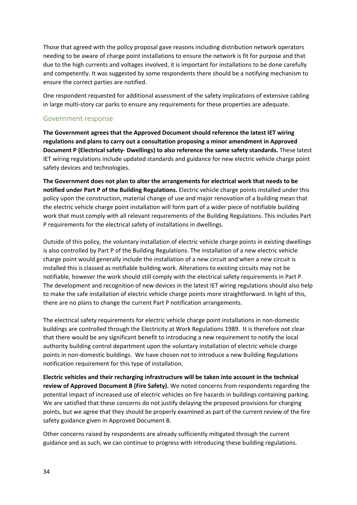Those that agreed with the policy proposal gave reasons including distribution network operators needing to be aware of charge point installations to ensure the network is fit for purpose and that due to the high currents and voltages involved, it is important for installations to be done carefully and competently. It was suggested by some respondents there should be a notifying mechanism to ensure the correct parties are notified.

One respondent requested for additional assessment of the safety implications of extensive cabling in large multi-story car parks to ensure any requirements for these properties are adequate.

#### Government response

**The Government agrees that the Approved Document should reference the latest IET wiring regulations and plans to carry out a consultation proposing a minor amendment in Approved Document P (Electrical safety- Dwellings) to also reference the same safety standards.** These latest IET wiring regulations include updated standards and guidance for new electric vehicle charge point safety devices and technologies.

**The Government does not plan to alter the arrangements for electrical work that needs to be notified under Part P of the Building Regulations.** Electric vehicle charge points installed under this policy upon the construction, material change of use and major renovation of a building mean that the electric vehicle charge point installation will form part of a wider piece of notifiable building work that must comply with all relevant requirements of the Building Regulations. This includes Part P requirements for the electrical safety of installations in dwellings.

Outside of this policy, the voluntary installation of electric vehicle charge points in existing dwellings is also controlled by Part P of the Building Regulations. The installation of a new electric vehicle charge point would generally include the installation of a new circuit and when a new circuit is installed this is classed as notifiable building work. Alterations to existing circuits may not be notifiable, however the work should still comply with the electrical safety requirements in Part P. The development and recognition of new devices in the latest IET wiring regulations should also help to make the safe installation of electric vehicle charge points more straightforward. In light of this, there are no plans to change the current Part P notification arrangements.

The electrical safety requirements for electric vehicle charge point installations in non-domestic buildings are controlled through the Electricity at Work Regulations 1989. It is therefore not clear that there would be any significant benefit to introducing a new requirement to notify the local authority building control department upon the voluntary installation of electric vehicle charge points in non-domestic buildings. We have chosen not to introduce a new Building Regulations notification requirement for this type of installation.

**Electric vehicles and their recharging infrastructure will be taken into account in the technical review of Approved Document B (Fire Safety).** We noted concerns from respondents regarding the potential impact of increased use of electric vehicles on fire hazards in buildings containing parking. We are satisfied that these concerns do not justify delaying the proposed provisions for charging points, but we agree that they should be properly examined as part of the current review of the fire safety guidance given in Approved Document B.

Other concerns raised by respondents are already sufficiently mitigated through the current guidance and as such, we can continue to progress with introducing these building regulations.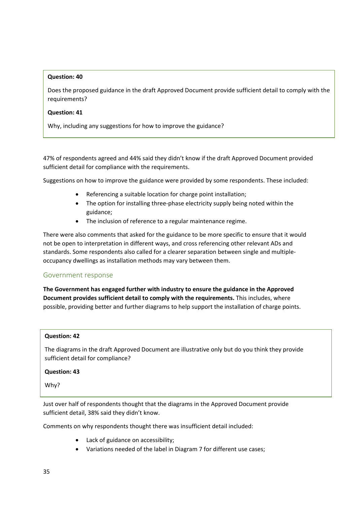#### **Question: 40**

Does the proposed guidance in the draft Approved Document provide sufficient detail to comply with the requirements?

#### **Question: 41**

Why, including any suggestions for how to improve the guidance?

47% of respondents agreed and 44% said they didn't know if the draft Approved Document provided sufficient detail for compliance with the requirements.

Suggestions on how to improve the guidance were provided by some respondents. These included:

- Referencing a suitable location for charge point installation;
- The option for installing three-phase electricity supply being noted within the guidance;
- The inclusion of reference to a regular maintenance regime.

There were also comments that asked for the guidance to be more specific to ensure that it would not be open to interpretation in different ways, and cross referencing other relevant ADs and standards. Some respondents also called for a clearer separation between single and multipleoccupancy dwellings as installation methods may vary between them.

# Government response

**The Government has engaged further with industry to ensure the guidance in the Approved Document provides sufficient detail to comply with the requirements.** This includes, where possible, providing better and further diagrams to help support the installation of charge points.

#### **Question: 42**

The diagrams in the draft Approved Document are illustrative only but do you think they provide sufficient detail for compliance?

#### **Question: 43**

Why?

Just over half of respondents thought that the diagrams in the Approved Document provide sufficient detail, 38% said they didn't know.

Comments on why respondents thought there was insufficient detail included:

- Lack of guidance on accessibility;
- Variations needed of the label in Diagram 7 for different use cases;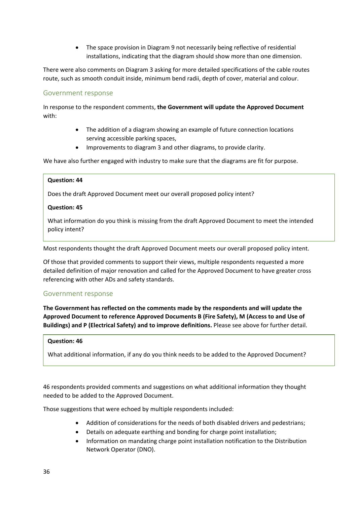• The space provision in Diagram 9 not necessarily being reflective of residential installations, indicating that the diagram should show more than one dimension.

There were also comments on Diagram 3 asking for more detailed specifications of the cable routes route, such as smooth conduit inside, minimum bend radii, depth of cover, material and colour.

### Government response

In response to the respondent comments, **the Government will update the Approved Document** with:

- The addition of a diagram showing an example of future connection locations serving accessible parking spaces,
- Improvements to diagram 3 and other diagrams, to provide clarity.

We have also further engaged with industry to make sure that the diagrams are fit for purpose.

#### **Question: 44**

Does the draft Approved Document meet our overall proposed policy intent?

#### **Question: 45**

What information do you think is missing from the draft Approved Document to meet the intended policy intent?

Most respondents thought the draft Approved Document meets our overall proposed policy intent.

Of those that provided comments to support their views, multiple respondents requested a more detailed definition of major renovation and called for the Approved Document to have greater cross referencing with other ADs and safety standards.

#### Government response

**The Government has reflected on the comments made by the respondents and will update the Approved Document to reference Approved Documents B (Fire Safety), M (Access to and Use of Buildings) and P (Electrical Safety) and to improve definitions.** Please see above for further detail.

#### **Question: 46**

What additional information, if any do you think needs to be added to the Approved Document?

46 respondents provided comments and suggestions on what additional information they thought needed to be added to the Approved Document.

Those suggestions that were echoed by multiple respondents included:

- Addition of considerations for the needs of both disabled drivers and pedestrians;
- Details on adequate earthing and bonding for charge point installation;
- Information on mandating charge point installation notification to the Distribution Network Operator (DNO).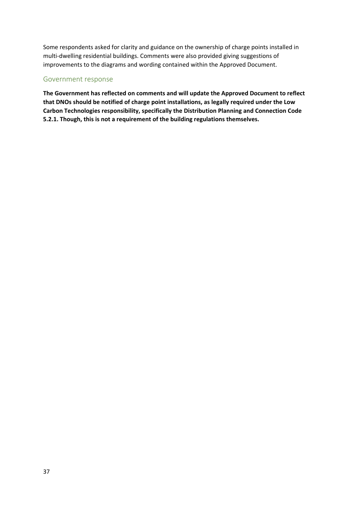Some respondents asked for clarity and guidance on the ownership of charge points installed in multi-dwelling residential buildings. Comments were also provided giving suggestions of improvements to the diagrams and wording contained within the Approved Document.

# Government response

**The Government has reflected on comments and will update the Approved Document to reflect that DNOs should be notified of charge point installations, as legally required under the Low Carbon Technologies responsibility, specifically the Distribution Planning and Connection Code 5.2.1. Though, this is not a requirement of the building regulations themselves.**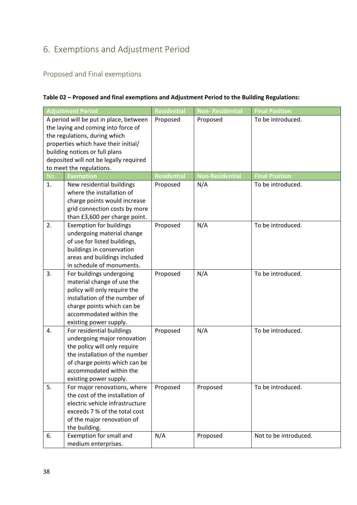# <span id="page-37-0"></span>6. Exemptions and Adjustment Period

# <span id="page-37-1"></span>Proposed and Final exemptions

# **Table 02 – Proposed and final exemptions and Adjustment Period to the Building Regulations:**

|     | <b>Adjustment Period</b>                                                                                                                                                                                                                                       | <b>Residential</b> | <b>Non-Residential</b> | <b>Final Position</b> |
|-----|----------------------------------------------------------------------------------------------------------------------------------------------------------------------------------------------------------------------------------------------------------------|--------------------|------------------------|-----------------------|
|     | A period will be put in place, between<br>the laying and coming into force of<br>the regulations, during which<br>properties which have their initial/<br>building notices or full plans<br>deposited will not be legally required<br>to meet the regulations. | Proposed           | Proposed               | To be introduced.     |
| No. | <b>Exemption</b>                                                                                                                                                                                                                                               | <b>Residential</b> | <b>Non-Residential</b> | <b>Final Position</b> |
| 1.  | New residential buildings<br>where the installation of<br>charge points would increase<br>grid connection costs by more<br>than £3,600 per charge point.                                                                                                       | Proposed           | N/A                    | To be introduced.     |
| 2.  | <b>Exemption for buildings</b><br>undergoing material change<br>of use for listed buildings,<br>buildings in conservation<br>areas and buildings included<br>in schedule of monuments.                                                                         | Proposed           | N/A                    | To be introduced.     |
| 3.  | For buildings undergoing<br>material change of use the<br>policy will only require the<br>installation of the number of<br>charge points which can be<br>accommodated within the<br>existing power supply.                                                     | Proposed           | N/A                    | To be introduced.     |
| 4.  | For residential buildings<br>undergoing major renovation<br>the policy will only require<br>the installation of the number<br>of charge points which can be<br>accommodated within the<br>existing power supply.                                               | Proposed           | N/A                    | To be introduced.     |
| 5.  | For major renovations, where<br>the cost of the installation of<br>electric vehicle infrastructure<br>exceeds 7 % of the total cost<br>of the major renovation of<br>the building.                                                                             | Proposed           | Proposed               | To be introduced.     |
| 6.  | Exemption for small and<br>medium enterprises.                                                                                                                                                                                                                 | N/A                | Proposed               | Not to be introduced. |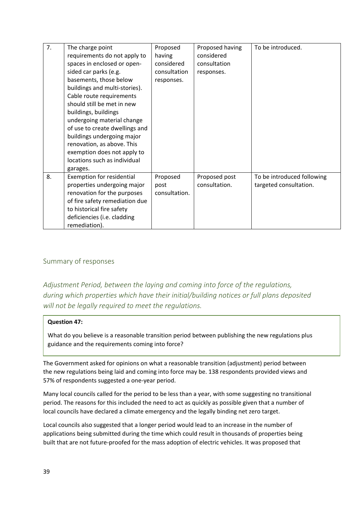| 7. | The charge point                 | Proposed      | Proposed having | To be introduced.          |
|----|----------------------------------|---------------|-----------------|----------------------------|
|    | requirements do not apply to     | having        | considered      |                            |
|    | spaces in enclosed or open-      | considered    | consultation    |                            |
|    | sided car parks (e.g.            | consultation  | responses.      |                            |
|    | basements, those below           | responses.    |                 |                            |
|    | buildings and multi-stories).    |               |                 |                            |
|    | Cable route requirements         |               |                 |                            |
|    | should still be met in new       |               |                 |                            |
|    | buildings, buildings             |               |                 |                            |
|    | undergoing material change       |               |                 |                            |
|    | of use to create dwellings and   |               |                 |                            |
|    | buildings undergoing major       |               |                 |                            |
|    | renovation, as above. This       |               |                 |                            |
|    | exemption does not apply to      |               |                 |                            |
|    | locations such as individual     |               |                 |                            |
|    | garages.                         |               |                 |                            |
| 8. | <b>Exemption for residential</b> | Proposed      | Proposed post   | To be introduced following |
|    | properties undergoing major      | post          | consultation.   | targeted consultation.     |
|    | renovation for the purposes      | consultation. |                 |                            |
|    | of fire safety remediation due   |               |                 |                            |
|    | to historical fire safety        |               |                 |                            |
|    | deficiencies (i.e. cladding      |               |                 |                            |
|    | remediation).                    |               |                 |                            |

# <span id="page-38-0"></span>Summary of responses

*Adjustment Period, between the laying and coming into force of the regulations, during which properties which have their initial/building notices or full plans deposited will not be legally required to meet the regulations.*

# **Question 47:**

What do you believe is a reasonable transition period between publishing the new regulations plus guidance and the requirements coming into force?

The Government asked for opinions on what a reasonable transition (adjustment) period between the new regulations being laid and coming into force may be. 138 respondents provided views and 57% of respondents suggested a one-year period.

Many local councils called for the period to be less than a year, with some suggesting no transitional period. The reasons for this included the need to act as quickly as possible given that a number of local councils have declared a climate emergency and the legally binding net zero target.

Local councils also suggested that a longer period would lead to an increase in the number of applications being submitted during the time which could result in thousands of properties being built that are not future-proofed for the mass adoption of electric vehicles. It was proposed that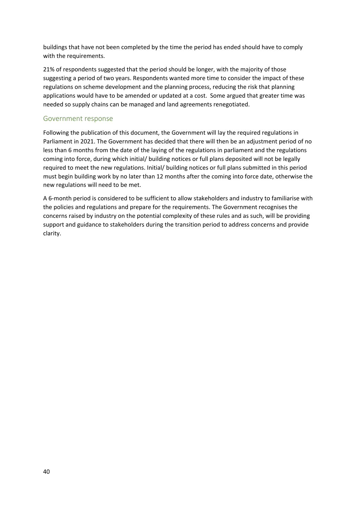buildings that have not been completed by the time the period has ended should have to comply with the requirements.

21% of respondents suggested that the period should be longer, with the majority of those suggesting a period of two years. Respondents wanted more time to consider the impact of these regulations on scheme development and the planning process, reducing the risk that planning applications would have to be amended or updated at a cost. Some argued that greater time was needed so supply chains can be managed and land agreements renegotiated.

# Government response

Following the publication of this document, the Government will lay the required regulations in Parliament in 2021. The Government has decided that there will then be an adjustment period of no less than 6 months from the date of the laying of the regulations in parliament and the regulations coming into force, during which initial/ building notices or full plans deposited will not be legally required to meet the new regulations. Initial/ building notices or full plans submitted in this period must begin building work by no later than 12 months after the coming into force date, otherwise the new regulations will need to be met.

A 6-month period is considered to be sufficient to allow stakeholders and industry to familiarise with the policies and regulations and prepare for the requirements. The Government recognises the concerns raised by industry on the potential complexity of these rules and as such, will be providing support and guidance to stakeholders during the transition period to address concerns and provide clarity.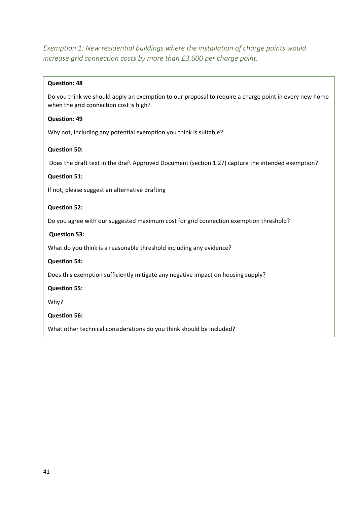*Exemption 1: New residential buildings where the installation of charge points would increase grid connection costs by more than £3,600 per charge point.* 

#### **Question: 48**

Do you think we should apply an exemption to our proposal to require a charge point in every new home when the grid connection cost is high?

### **Question: 49**

Why not, including any potential exemption you think is suitable?

#### **Question 50:**

Does the draft text in the draft Approved Document (section 1.27) capture the intended exemption?

#### **Question 51:**

If not, please suggest an alternative drafting

#### **Question 52:**

Do you agree with our suggested maximum cost for grid connection exemption threshold?

### **Question 53:**

What do you think is a reasonable threshold including any evidence?

# **Question 54:**

Does this exemption sufficiently mitigate any negative impact on housing supply?

# **Question 55:**

Why?

# **Question 56:**

What other technical considerations do you think should be included?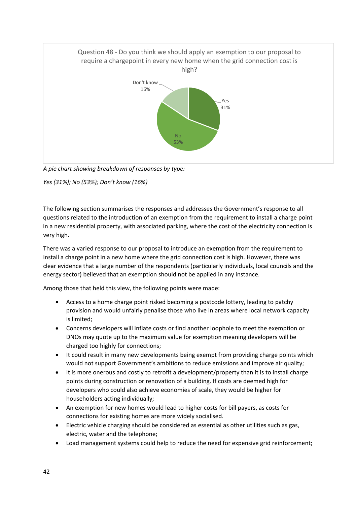

*A pie chart showing breakdown of responses by type:*

*Yes (31%); No (53%); Don't know (16%)*

The following section summarises the responses and addresses the Government's response to all questions related to the introduction of an exemption from the requirement to install a charge point in a new residential property, with associated parking, where the cost of the electricity connection is very high.

There was a varied response to our proposal to introduce an exemption from the requirement to install a charge point in a new home where the grid connection cost is high. However, there was clear evidence that a large number of the respondents (particularly individuals, local councils and the energy sector) believed that an exemption should not be applied in any instance.

Among those that held this view, the following points were made:

- Access to a home charge point risked becoming a postcode lottery, leading to patchy provision and would unfairly penalise those who live in areas where local network capacity is limited;
- Concerns developers will inflate costs or find another loophole to meet the exemption or DNOs may quote up to the maximum value for exemption meaning developers will be charged too highly for connections;
- It could result in many new developments being exempt from providing charge points which would not support Government's ambitions to reduce emissions and improve air quality;
- It is more onerous and costly to retrofit a development/property than it is to install charge points during construction or renovation of a building. If costs are deemed high for developers who could also achieve economies of scale, they would be higher for householders acting individually;
- An exemption for new homes would lead to higher costs for bill payers, as costs for connections for existing homes are more widely socialised.
- Electric vehicle charging should be considered as essential as other utilities such as gas, electric, water and the telephone;
- Load management systems could help to reduce the need for expensive grid reinforcement;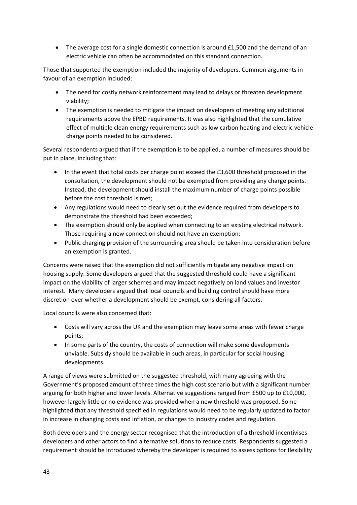• The average cost for a single domestic connection is around £1,500 and the demand of an electric vehicle can often be accommodated on this standard connection.

Those that supported the exemption included the majority of developers. Common arguments in favour of an exemption included:

- The need for costly network reinforcement may lead to delays or threaten development viability;
- The exemption is needed to mitigate the impact on developers of meeting any additional requirements above the EPBD requirements. It was also highlighted that the cumulative effect of multiple clean energy requirements such as low carbon heating and electric vehicle charge points needed to be considered.

Several respondents argued that if the exemption is to be applied, a number of measures should be put in place, including that:

- In the event that total costs per charge point exceed the £3,600 threshold proposed in the consultation, the development should not be exempted from providing any charge points. Instead, the development should install the maximum number of charge points possible before the cost threshold is met;
- Any regulations would need to clearly set out the evidence required from developers to demonstrate the threshold had been exceeded;
- The exemption should only be applied when connecting to an existing electrical network. Those requiring a new connection should not have an exemption;
- Public charging provision of the surrounding area should be taken into consideration before an exemption is granted.

Concerns were raised that the exemption did not sufficiently mitigate any negative impact on housing supply. Some developers argued that the suggested threshold could have a significant impact on the viability of larger schemes and may impact negatively on land values and investor interest. Many developers argued that local councils and building control should have more discretion over whether a development should be exempt, considering all factors.

Local councils were also concerned that:

- Costs will vary across the UK and the exemption may leave some areas with fewer charge points;
- In some parts of the country, the costs of connection will make some developments unviable. Subsidy should be available in such areas, in particular for social housing developments.

A range of views were submitted on the suggested threshold, with many agreeing with the Government's proposed amount of three times the high cost scenario but with a significant number arguing for both higher and lower levels. Alternative suggestions ranged from £500 up to £10,000, however largely little or no evidence was provided when a new threshold was proposed. Some highlighted that any threshold specified in regulations would need to be regularly updated to factor in increase in changing costs and inflation, or changes to industry codes and regulation.

Both developers and the energy sector recognised that the introduction of a threshold incentivises developers and other actors to find alternative solutions to reduce costs. Respondents suggested a requirement should be introduced whereby the developer is required to assess options for flexibility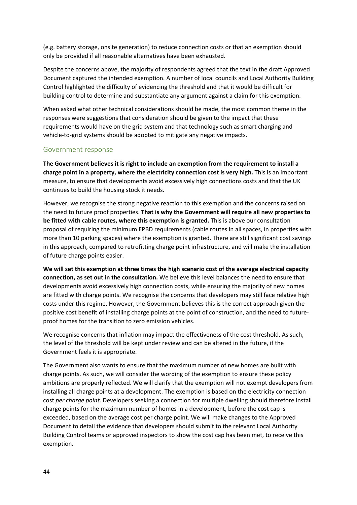(e.g. battery storage, onsite generation) to reduce connection costs or that an exemption should only be provided if all reasonable alternatives have been exhausted.

Despite the concerns above, the majority of respondents agreed that the text in the draft Approved Document captured the intended exemption. A number of local councils and Local Authority Building Control highlighted the difficulty of evidencing the threshold and that it would be difficult for building control to determine and substantiate any argument against a claim for this exemption.

When asked what other technical considerations should be made, the most common theme in the responses were suggestions that consideration should be given to the impact that these requirements would have on the grid system and that technology such as smart charging and vehicle-to-grid systems should be adopted to mitigate any negative impacts.

# Government response

**The Government believes it is right to include an exemption from the requirement to install a charge point in a property, where the electricity connection cost is very high.** This is an important measure, to ensure that developments avoid excessively high connections costs and that the UK continues to build the housing stock it needs.

However, we recognise the strong negative reaction to this exemption and the concerns raised on the need to future proof properties. **That is why the Government will require all new properties to be fitted with cable routes, where this exemption is granted.** This is above our consultation proposal of requiring the minimum EPBD requirements (cable routes in all spaces, in properties with more than 10 parking spaces) where the exemption is granted. There are still significant cost savings in this approach, compared to retrofitting charge point infrastructure, and will make the installation of future charge points easier.

**We will set this exemption at three times the high scenario cost of the average electrical capacity connection, as set out in the consultation.** We believe this level balances the need to ensure that developments avoid excessively high connection costs, while ensuring the majority of new homes are fitted with charge points. We recognise the concerns that developers may still face relative high costs under this regime. However, the Government believes this is the correct approach given the positive cost benefit of installing charge points at the point of construction, and the need to futureproof homes for the transition to zero emission vehicles.

We recognise concerns that inflation may impact the effectiveness of the cost threshold. As such, the level of the threshold will be kept under review and can be altered in the future, if the Government feels it is appropriate.

The Government also wants to ensure that the maximum number of new homes are built with charge points. As such, we will consider the wording of the exemption to ensure these policy ambitions are properly reflected. We will clarify that the exemption will not exempt developers from installing all charge points at a development. The exemption is based on the electricity connection cost *per charge point*. Developers seeking a connection for multiple dwelling should therefore install charge points for the maximum number of homes in a development, before the cost cap is exceeded, based on the average cost per charge point. We will make changes to the Approved Document to detail the evidence that developers should submit to the relevant Local Authority Building Control teams or approved inspectors to show the cost cap has been met, to receive this exemption.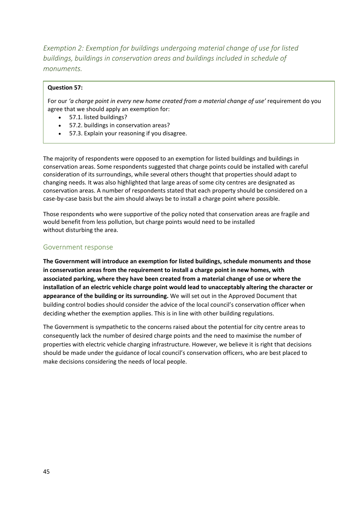*Exemption 2: Exemption for buildings undergoing material change of use for listed buildings, buildings in conservation areas and buildings included in schedule of monuments.*

#### **Question 57:**

For our *'a charge point in every new home created from a material change of use'* requirement do you agree that we should apply an exemption for:

- 57.1. listed buildings?
- 57.2. buildings in conservation areas?
- 57.3. Explain your reasoning if you disagree.

The majority of respondents were opposed to an exemption for listed buildings and buildings in conservation areas. Some respondents suggested that charge points could be installed with careful consideration of its surroundings, while several others thought that properties should adapt to changing needs. It was also highlighted that large areas of some city centres are designated as conservation areas. A number of respondents stated that each property should be considered on a case-by-case basis but the aim should always be to install a charge point where possible.

Those respondents who were supportive of the policy noted that conservation areas are fragile and would benefit from less pollution, but charge points would need to be installed without disturbing the area.

# Government response

**The Government will introduce an exemption for listed buildings, schedule monuments and those in conservation areas from the requirement to install a charge point in new homes, with associated parking, where they have been created from a material change of use or where the installation of an electric vehicle charge point would lead to unacceptably altering the character or appearance of the building or its surrounding.** We will set out in the Approved Document that building control bodies should consider the advice of the local council's conservation officer when deciding whether the exemption applies. This is in line with other building regulations.

The Government is sympathetic to the concerns raised about the potential for city centre areas to consequently lack the number of desired charge points and the need to maximise the number of properties with electric vehicle charging infrastructure. However, we believe it is right that decisions should be made under the guidance of local council's conservation officers, who are best placed to make decisions considering the needs of local people.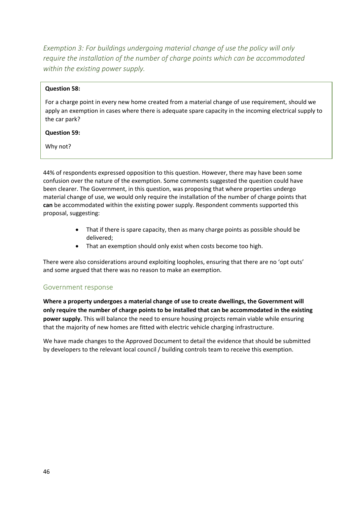*Exemption 3: For buildings undergoing material change of use the policy will only require the installation of the number of charge points which can be accommodated within the existing power supply.* 

#### **Question 58:**

For a charge point in every new home created from a material change of use requirement, should we apply an exemption in cases where there is adequate spare capacity in the incoming electrical supply to the car park?

#### **Question 59:**

Why not?

44% of respondents expressed opposition to this question. However, there may have been some confusion over the nature of the exemption. Some comments suggested the question could have been clearer. The Government, in this question, was proposing that where properties undergo material change of use, we would only require the installation of the number of charge points that **can** be accommodated within the existing power supply. Respondent comments supported this proposal, suggesting:

- That if there is spare capacity, then as many charge points as possible should be delivered;
- That an exemption should only exist when costs become too high.

There were also considerations around exploiting loopholes, ensuring that there are no 'opt outs' and some argued that there was no reason to make an exemption.

# Government response

**Where a property undergoes a material change of use to create dwellings, the Government will only require the number of charge points to be installed that can be accommodated in the existing power supply.** This will balance the need to ensure housing projects remain viable while ensuring that the majority of new homes are fitted with electric vehicle charging infrastructure.

We have made changes to the Approved Document to detail the evidence that should be submitted by developers to the relevant local council / building controls team to receive this exemption.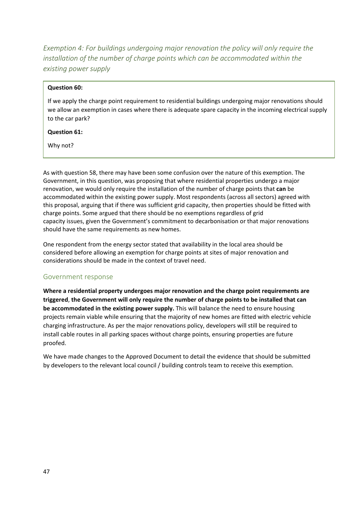*Exemption 4: For buildings undergoing major renovation the policy will only require the installation of the number of charge points which can be accommodated within the existing power supply*

#### **Question 60:**

If we apply the charge point requirement to residential buildings undergoing major renovations should we allow an exemption in cases where there is adequate spare capacity in the incoming electrical supply to the car park?

#### **Question 61:**

Why not?

As with question 58, there may have been some confusion over the nature of this exemption. The Government, in this question, was proposing that where residential properties undergo a major renovation, we would only require the installation of the number of charge points that **can** be accommodated within the existing power supply. Most respondents (across all sectors) agreed with this proposal, arguing that if there was sufficient grid capacity, then properties should be fitted with charge points. Some argued that there should be no exemptions regardless of grid capacity issues, given the Government's commitment to decarbonisation or that major renovations should have the same requirements as new homes.

One respondent from the energy sector stated that availability in the local area should be considered before allowing an exemption for charge points at sites of major renovation and considerations should be made in the context of travel need.

#### Government response

**Where a residential property undergoes major renovation and the charge point requirements are triggered**, **the Government will only require the number of charge points to be installed that can be accommodated in the existing power supply.** This will balance the need to ensure housing projects remain viable while ensuring that the majority of new homes are fitted with electric vehicle charging infrastructure. As per the major renovations policy, developers will still be required to install cable routes in all parking spaces without charge points, ensuring properties are future proofed.

We have made changes to the Approved Document to detail the evidence that should be submitted by developers to the relevant local council / building controls team to receive this exemption.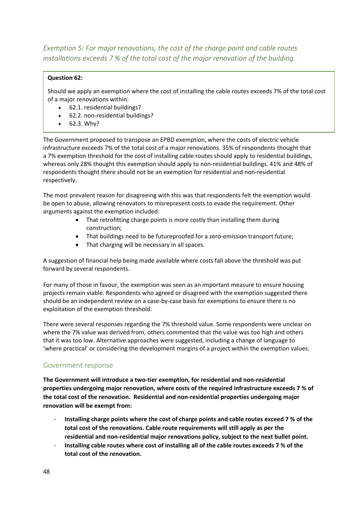*Exemption 5: For major renovations, the cost of the charge point and cable routes installations exceeds 7 % of the total cost of the major renovation of the building.*

# **Question 62:**

Should we apply an exemption where the cost of installing the cable routes exceeds 7% of the total cost of a major renovations within:

- 62.1. residential buildings?
- 62.2. non-residential buildings?
- 62.3. Why?

The Government proposed to transpose an EPBD exemption, where the costs of electric vehicle infrastructure exceeds 7% of the total cost of a major renovations. 35% of respondents thought that a 7% exemption threshold for the cost of installing cable routes should apply to residential buildings, whereas only 28% thought this exemption should apply to non-residential buildings. 41% and 48% of respondents thought there should not be an exemption for residential and non-residential respectively.

The most prevalent reason for disagreeing with this was that respondents felt the exemption would be open to abuse, allowing renovators to misrepresent costs to evade the requirement. Other arguments against the exemption included:

- That retrofitting charge points is more costly than installing them during construction;
- That buildings need to be futureproofed for a zero-emission transport future;
- That charging will be necessary in all spaces.

A suggestion of financial help being made available where costs fall above the threshold was put forward by several respondents.

For many of those in favour, the exemption was seen as an important measure to ensure housing projects remain viable. Respondents who agreed or disagreed with the exemption suggested there should be an independent review on a case-by-case basis for exemptions to ensure there is no exploitation of the exemption threshold.

There were several responses regarding the 7% threshold value. Some respondents were unclear on where the 7% value was derived from, others commented that the value was too high and others that it was too low. Alternative approaches were suggested, including a change of language to 'where practical' or considering the development margins of a project within the exemption values.

# Government response

**The Government will introduce a two-tier exemption, for residential and non-residential properties undergoing major renovation, where costs of the required infrastructure exceeds 7 % of the total cost of the renovation. Residential and non-residential properties undergoing major renovation will be exempt from:** 

- **Installing charge points where the cost of charge points and cable routes exceed 7 % of the total cost of the renovations. Cable route requirements will still apply as per the residential and non-residential major renovations policy, subject to the next bullet point.**
- **Installing cable routes where cost of installing all of the cable routes exceeds 7 % of the total cost of the renovation.**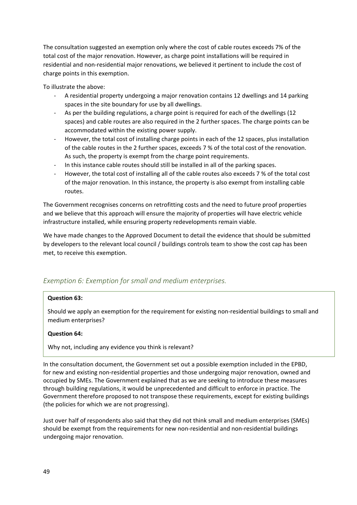The consultation suggested an exemption only where the cost of cable routes exceeds 7% of the total cost of the major renovation. However, as charge point installations will be required in residential and non-residential major renovations, we believed it pertinent to include the cost of charge points in this exemption.

To illustrate the above:

- A residential property undergoing a major renovation contains 12 dwellings and 14 parking spaces in the site boundary for use by all dwellings.
- As per the building regulations, a charge point is required for each of the dwellings (12 spaces) and cable routes are also required in the 2 further spaces. The charge points can be accommodated within the existing power supply.
- However, the total cost of installing charge points in each of the 12 spaces, plus installation of the cable routes in the 2 further spaces, exceeds 7 % of the total cost of the renovation. As such, the property is exempt from the charge point requirements.
- In this instance cable routes should still be installed in all of the parking spaces.
- However, the total cost of installing all of the cable routes also exceeds 7 % of the total cost of the major renovation. In this instance, the property is also exempt from installing cable routes.

The Government recognises concerns on retrofitting costs and the need to future proof properties and we believe that this approach will ensure the majority of properties will have electric vehicle infrastructure installed, while ensuring property redevelopments remain viable.

We have made changes to the Approved Document to detail the evidence that should be submitted by developers to the relevant local council / buildings controls team to show the cost cap has been met, to receive this exemption.

# *Exemption 6: Exemption for small and medium enterprises.*

#### **Question 63:**

Should we apply an exemption for the requirement for existing non-residential buildings to small and medium enterprises?

#### **Question 64:**

Why not, including any evidence you think is relevant?

In the consultation document, the Government set out a possible exemption included in the EPBD, for new and existing non-residential properties and those undergoing major renovation, owned and occupied by SMEs. The Government explained that as we are seeking to introduce these measures through building regulations, it would be unprecedented and difficult to enforce in practice. The Government therefore proposed to not transpose these requirements, except for existing buildings (the policies for which we are not progressing).

Just over half of respondents also said that they did not think small and medium enterprises (SMEs) should be exempt from the requirements for new non-residential and non-residential buildings undergoing major renovation.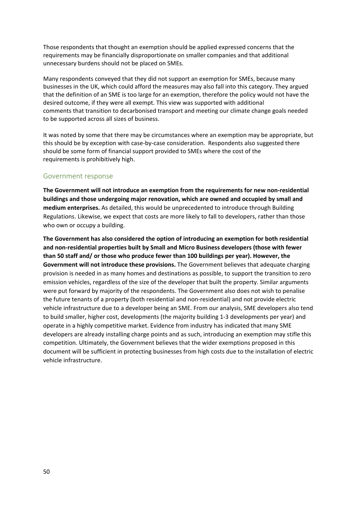Those respondents that thought an exemption should be applied expressed concerns that the requirements may be financially disproportionate on smaller companies and that additional unnecessary burdens should not be placed on SMEs.

Many respondents conveyed that they did not support an exemption for SMEs, because many businesses in the UK, which could afford the measures may also fall into this category. They argued that the definition of an SME is too large for an exemption, therefore the policy would not have the desired outcome, if they were all exempt. This view was supported with additional comments that transition to decarbonised transport and meeting our climate change goals needed to be supported across all sizes of business.

It was noted by some that there may be circumstances where an exemption may be appropriate, but this should be by exception with case-by-case consideration. Respondents also suggested there should be some form of financial support provided to SMEs where the cost of the requirements is prohibitively high.

#### Government response

**The Government will not introduce an exemption from the requirements for new non-residential buildings and those undergoing major renovation, which are owned and occupied by small and medium enterprises.** As detailed, this would be unprecedented to introduce through Building Regulations. Likewise, we expect that costs are more likely to fall to developers, rather than those who own or occupy a building.

**The Government has also considered the option of introducing an exemption for both residential and non-residential properties built by Small and Micro Business developers (those with fewer than 50 staff and/ or those who produce fewer than 100 buildings per year). However, the Government will not introduce these provisions.** The Government believes that adequate charging provision is needed in as many homes and destinations as possible, to support the transition to zero emission vehicles, regardless of the size of the developer that built the property. Similar arguments were put forward by majority of the respondents. The Government also does not wish to penalise the future tenants of a property (both residential and non-residential) and not provide electric vehicle infrastructure due to a developer being an SME. From our analysis, SME developers also tend to build smaller, higher cost, developments (the majority building 1-3 developments per year) and operate in a highly competitive market. Evidence from industry has indicated that many SME developers are already installing charge points and as such, introducing an exemption may stifle this competition. Ultimately, the Government believes that the wider exemptions proposed in this document will be sufficient in protecting businesses from high costs due to the installation of electric vehicle infrastructure.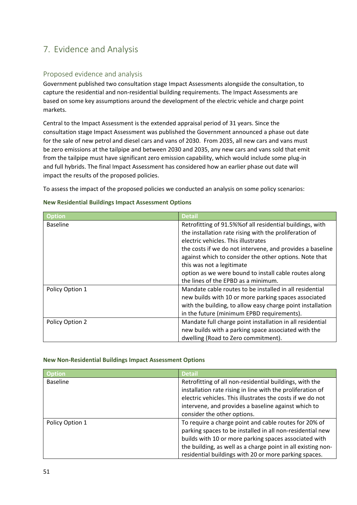# <span id="page-50-0"></span>7. Evidence and Analysis

# <span id="page-50-1"></span>Proposed evidence and analysis

Government published two consultation stage Impact Assessments alongside the consultation, to capture the residential and non-residential building requirements. The Impact Assessments are based on some key assumptions around the development of the electric vehicle and charge point markets.

Central to the Impact Assessment is the extended appraisal period of 31 years. Since the consultation stage Impact Assessment was published the Government announced a phase out date for the sale of new petrol and diesel cars and vans of 2030. From 2035, all new cars and vans must be zero emissions at the tailpipe and between 2030 and 2035, any new cars and vans sold that emit from the tailpipe must have significant zero emission capability, which would include some plug-in and full hybrids. The final Impact Assessment has considered how an earlier phase out date will impact the results of the proposed policies.

To assess the impact of the proposed policies we conducted an analysis on some policy scenarios:

| <b>Option</b>   | <b>Detail</b>                                              |
|-----------------|------------------------------------------------------------|
| <b>Baseline</b> | Retrofitting of 91.5%% of all residential buildings, with  |
|                 | the installation rate rising with the proliferation of     |
|                 | electric vehicles. This illustrates                        |
|                 | the costs if we do not intervene, and provides a baseline  |
|                 | against which to consider the other options. Note that     |
|                 | this was not a legitimate                                  |
|                 | option as we were bound to install cable routes along      |
|                 | the lines of the EPBD as a minimum.                        |
| Policy Option 1 | Mandate cable routes to be installed in all residential    |
|                 | new builds with 10 or more parking spaces associated       |
|                 | with the building, to allow easy charge point installation |
|                 | in the future (minimum EPBD requirements).                 |
| Policy Option 2 | Mandate full charge point installation in all residential  |
|                 | new builds with a parking space associated with the        |
|                 | dwelling (Road to Zero commitment).                        |

#### **New Residential Buildings Impact Assessment Options**

#### **New Non-Residential Buildings Impact Assessment Options**

| Option          | <b>Detail</b>                                                |
|-----------------|--------------------------------------------------------------|
| <b>Baseline</b> | Retrofitting of all non-residential buildings, with the      |
|                 | installation rate rising in line with the proliferation of   |
|                 | electric vehicles. This illustrates the costs if we do not   |
|                 | intervene, and provides a baseline against which to          |
|                 | consider the other options.                                  |
| Policy Option 1 | To require a charge point and cable routes for 20% of        |
|                 | parking spaces to be installed in all non-residential new    |
|                 | builds with 10 or more parking spaces associated with        |
|                 | the building, as well as a charge point in all existing non- |
|                 | residential buildings with 20 or more parking spaces.        |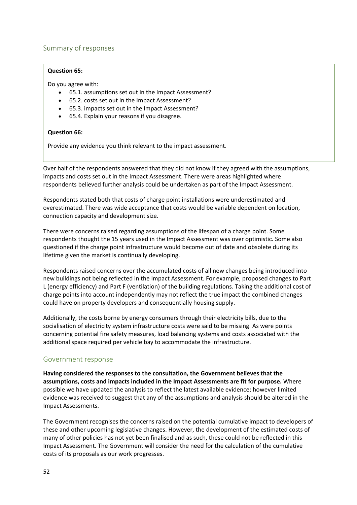# <span id="page-51-0"></span>Summary of responses

#### **Question 65:**

Do you agree with:

- 65.1. assumptions set out in the Impact Assessment?
- 65.2. costs set out in the Impact Assessment?
- 65.3. impacts set out in the Impact Assessment?
- 65.4. Explain your reasons if you disagree.

#### **Question 66:**

Provide any evidence you think relevant to the impact assessment.

Over half of the respondents answered that they did not know if they agreed with the assumptions, impacts and costs set out in the Impact Assessment. There were areas highlighted where respondents believed further analysis could be undertaken as part of the Impact Assessment.

Respondents stated both that costs of charge point installations were underestimated and overestimated. There was wide acceptance that costs would be variable dependent on location, connection capacity and development size.

There were concerns raised regarding assumptions of the lifespan of a charge point. Some respondents thought the 15 years used in the Impact Assessment was over optimistic. Some also questioned if the charge point infrastructure would become out of date and obsolete during its lifetime given the market is continually developing.

Respondents raised concerns over the accumulated costs of all new changes being introduced into new buildings not being reflected in the Impact Assessment. For example, proposed changes to Part L (energy efficiency) and Part F (ventilation) of the building regulations. Taking the additional cost of charge points into account independently may not reflect the true impact the combined changes could have on property developers and consequentially housing supply.

Additionally, the costs borne by energy consumers through their electricity bills, due to the socialisation of electricity system infrastructure costs were said to be missing. As were points concerning potential fire safety measures, load balancing systems and costs associated with the additional space required per vehicle bay to accommodate the infrastructure.

# Government response

**Having considered the responses to the consultation, the Government believes that the assumptions, costs and impacts included in the Impact Assessments are fit for purpose.** Where possible we have updated the analysis to reflect the latest available evidence; however limited evidence was received to suggest that any of the assumptions and analysis should be altered in the Impact Assessments.

The Government recognises the concerns raised on the potential cumulative impact to developers of these and other upcoming legislative changes. However, the development of the estimated costs of many of other policies has not yet been finalised and as such, these could not be reflected in this Impact Assessment. The Government will consider the need for the calculation of the cumulative costs of its proposals as our work progresses.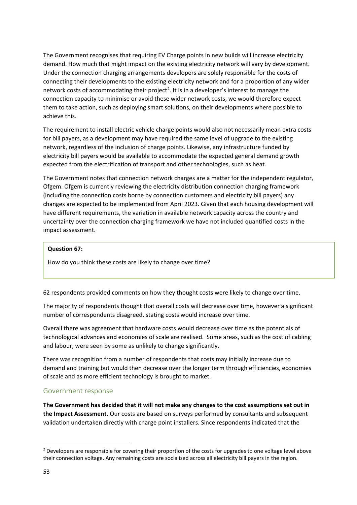The Government recognises that requiring EV Charge points in new builds will increase electricity demand. How much that might impact on the existing electricity network will vary by development. Under the connection charging arrangements developers are solely responsible for the costs of connecting their developments to the existing electricity network and for a proportion of any wider network costs of accommodating their project<sup>2</sup>. It is in a developer's interest to manage the connection capacity to minimise or avoid these wider network costs, we would therefore expect them to take action, such as deploying smart solutions, on their developments where possible to achieve this.

The requirement to install electric vehicle charge points would also not necessarily mean extra costs for bill payers, as a development may have required the same level of upgrade to the existing network, regardless of the inclusion of charge points. Likewise, any infrastructure funded by electricity bill payers would be available to accommodate the expected general demand growth expected from the electrification of transport and other technologies, such as heat.

The Government notes that connection network charges are a matter for the independent regulator, Ofgem. Ofgem is currently reviewing the electricity distribution connection charging framework (including the connection costs borne by connection customers and electricity bill payers) any changes are expected to be implemented from April 2023. Given that each housing development will have different requirements, the variation in available network capacity across the country and uncertainty over the connection charging framework we have not included quantified costs in the impact assessment.

#### **Question 67:**

How do you think these costs are likely to change over time?

62 respondents provided comments on how they thought costs were likely to change over time.

The majority of respondents thought that overall costs will decrease over time, however a significant number of correspondents disagreed, stating costs would increase over time.

Overall there was agreement that hardware costs would decrease over time as the potentials of technological advances and economies of scale are realised. Some areas, such as the cost of cabling and labour, were seen by some as unlikely to change significantly.

There was recognition from a number of respondents that costs may initially increase due to demand and training but would then decrease over the longer term through efficiencies, economies of scale and as more efficient technology is brought to market.

# Government response

**The Government has decided that it will not make any changes to the cost assumptions set out in the Impact Assessment.** Our costs are based on surveys performed by consultants and subsequent validation undertaken directly with charge point installers. Since respondents indicated that the

<sup>&</sup>lt;sup>2</sup> Developers are responsible for covering their proportion of the costs for upgrades to one voltage level above their connection voltage. Any remaining costs are socialised across all electricity bill payers in the region.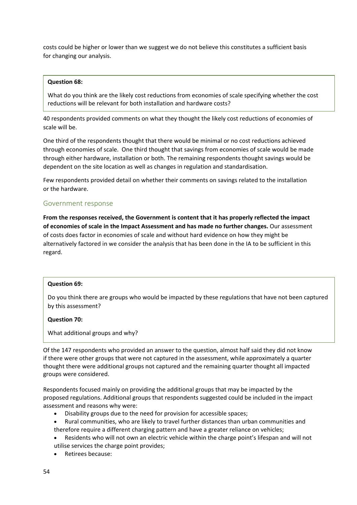costs could be higher or lower than we suggest we do not believe this constitutes a sufficient basis for changing our analysis.

#### **Question 68:**

What do you think are the likely cost reductions from economies of scale specifying whether the cost reductions will be relevant for both installation and hardware costs?

40 respondents provided comments on what they thought the likely cost reductions of economies of scale will be.

One third of the respondents thought that there would be minimal or no cost reductions achieved through economies of scale. One third thought that savings from economies of scale would be made through either hardware, installation or both. The remaining respondents thought savings would be dependent on the site location as well as changes in regulation and standardisation.

Few respondents provided detail on whether their comments on savings related to the installation or the hardware.

#### Government response

**From the responses received, the Government is content that it has properly reflected the impact of economies of scale in the Impact Assessment and has made no further changes.** Our assessment of costs does factor in economies of scale and without hard evidence on how they might be alternatively factored in we consider the analysis that has been done in the IA to be sufficient in this regard.

#### **Question 69:**

Do you think there are groups who would be impacted by these regulations that have not been captured by this assessment?

#### **Question 70:**

What additional groups and why?

Of the 147 respondents who provided an answer to the question, almost half said they did not know if there were other groups that were not captured in the assessment, while approximately a quarter thought there were additional groups not captured and the remaining quarter thought all impacted groups were considered.

Respondents focused mainly on providing the additional groups that may be impacted by the proposed regulations. Additional groups that respondents suggested could be included in the impact assessment and reasons why were:

- Disability groups due to the need for provision for accessible spaces;
- Rural communities, who are likely to travel further distances than urban communities and therefore require a different charging pattern and have a greater reliance on vehicles;
- Residents who will not own an electric vehicle within the charge point's lifespan and will not utilise services the charge point provides;
- Retirees because: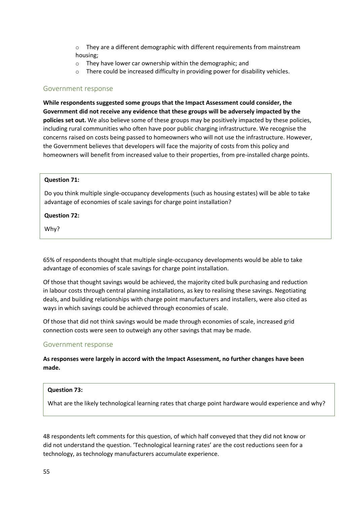$\circ$  They are a different demographic with different requirements from mainstream housing;

- o They have lower car ownership within the demographic; and
- o There could be increased difficulty in providing power for disability vehicles.

#### Government response

**While respondents suggested some groups that the Impact Assessment could consider, the Government did not receive any evidence that these groups will be adversely impacted by the policies set out.** We also believe some of these groups may be positively impacted by these policies, including rural communities who often have poor public charging infrastructure. We recognise the concerns raised on costs being passed to homeowners who will not use the infrastructure. However, the Government believes that developers will face the majority of costs from this policy and homeowners will benefit from increased value to their properties, from pre-installed charge points.

#### **Question 71:**

Do you think multiple single-occupancy developments (such as housing estates) will be able to take advantage of economies of scale savings for charge point installation?

#### **Question 72:**

Why?

65% of respondents thought that multiple single-occupancy developments would be able to take advantage of economies of scale savings for charge point installation.

Of those that thought savings would be achieved, the majority cited bulk purchasing and reduction in labour costs through central planning installations, as key to realising these savings. Negotiating deals, and building relationships with charge point manufacturers and installers, were also cited as ways in which savings could be achieved through economies of scale.

Of those that did not think savings would be made through economies of scale, increased grid connection costs were seen to outweigh any other savings that may be made.

#### Government response

**As responses were largely in accord with the Impact Assessment, no further changes have been made.** 

#### **Question 73:**

What are the likely technological learning rates that charge point hardware would experience and why?

48 respondents left comments for this question, of which half conveyed that they did not know or did not understand the question. 'Technological learning rates' are the cost reductions seen for a technology, as technology manufacturers accumulate experience.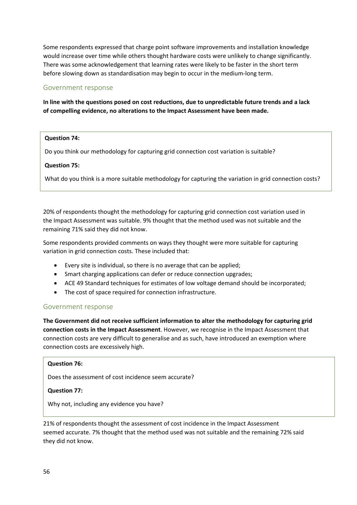Some respondents expressed that charge point software improvements and installation knowledge would increase over time while others thought hardware costs were unlikely to change significantly. There was some acknowledgement that learning rates were likely to be faster in the short term before slowing down as standardisation may begin to occur in the medium-long term.

### Government response

**In line with the questions posed on cost reductions, due to unpredictable future trends and a lack of compelling evidence, no alterations to the Impact Assessment have been made.** 

#### **Question 74:**

Do you think our methodology for capturing grid connection cost variation is suitable?

#### **Question 75:**

What do you think is a more suitable methodology for capturing the variation in grid connection costs?

20% of respondents thought the methodology for capturing grid connection cost variation used in the Impact Assessment was suitable. 9% thought that the method used was not suitable and the remaining 71% said they did not know.

Some respondents provided comments on ways they thought were more suitable for capturing variation in grid connection costs. These included that:

- Every site is individual, so there is no average that can be applied;
- Smart charging applications can defer or reduce connection upgrades;
- ACE 49 Standard techniques for estimates of low voltage demand should be incorporated;
- The cost of space required for connection infrastructure.

#### Government response

**The Government did not receive sufficient information to alter the methodology for capturing grid connection costs in the Impact Assessment**. However, we recognise in the Impact Assessment that connection costs are very difficult to generalise and as such, have introduced an exemption where connection costs are excessively high.

#### **Question 76:**

Does the assessment of cost incidence seem accurate?

#### **Question 77:**

Why not, including any evidence you have?

21% of respondents thought the assessment of cost incidence in the Impact Assessment seemed accurate. 7% thought that the method used was not suitable and the remaining 72% said they did not know.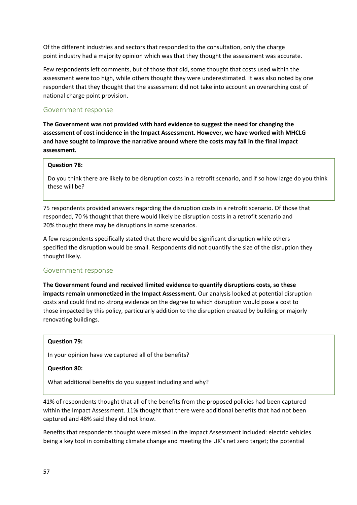Of the different industries and sectors that responded to the consultation, only the charge point industry had a majority opinion which was that they thought the assessment was accurate.

Few respondents left comments, but of those that did, some thought that costs used within the assessment were too high, while others thought they were underestimated. It was also noted by one respondent that they thought that the assessment did not take into account an overarching cost of national charge point provision.

# Government response

**The Government was not provided with hard evidence to suggest the need for changing the assessment of cost incidence in the Impact Assessment. However, we have worked with MHCLG and have sought to improve the narrative around where the costs may fall in the final impact assessment.** 

#### **Question 78:**

Do you think there are likely to be disruption costs in a retrofit scenario, and if so how large do you think these will be?

75 respondents provided answers regarding the disruption costs in a retrofit scenario. Of those that responded, 70 % thought that there would likely be disruption costs in a retrofit scenario and 20% thought there may be disruptions in some scenarios.

A few respondents specifically stated that there would be significant disruption while others specified the disruption would be small. Respondents did not quantify the size of the disruption they thought likely.

# Government response

**The Government found and received limited evidence to quantify disruptions costs, so these impacts remain unmonetized in the Impact Assessment.** Our analysis looked at potential disruption costs and could find no strong evidence on the degree to which disruption would pose a cost to those impacted by this policy, particularly addition to the disruption created by building or majorly renovating buildings.

#### **Question 79:**

In your opinion have we captured all of the benefits?

#### **Question 80:**

What additional benefits do you suggest including and why?

41% of respondents thought that all of the benefits from the proposed policies had been captured within the Impact Assessment. 11% thought that there were additional benefits that had not been captured and 48% said they did not know.

Benefits that respondents thought were missed in the Impact Assessment included: electric vehicles being a key tool in combatting climate change and meeting the UK's net zero target; the potential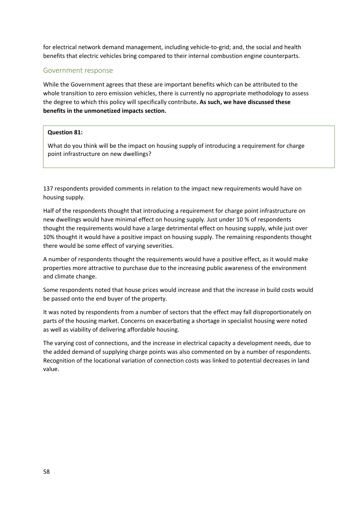for electrical network demand management, including vehicle-to-grid; and, the social and health benefits that electric vehicles bring compared to their internal combustion engine counterparts.

# Government response

While the Government agrees that these are important benefits which can be attributed to the whole transition to zero emission vehicles, there is currently no appropriate methodology to assess the degree to which this policy will specifically contribute**. As such, we have discussed these benefits in the unmonetized impacts section.**

# **Question 81:**

What do you think will be the impact on housing supply of introducing a requirement for charge point infrastructure on new dwellings?

137 respondents provided comments in relation to the impact new requirements would have on housing supply.

Half of the respondents thought that introducing a requirement for charge point infrastructure on new dwellings would have minimal effect on housing supply. Just under 10 % of respondents thought the requirements would have a large detrimental effect on housing supply, while just over 10% thought it would have a positive impact on housing supply. The remaining respondents thought there would be some effect of varying severities.

A number of respondents thought the requirements would have a positive effect, as it would make properties more attractive to purchase due to the increasing public awareness of the environment and climate change.

Some respondents noted that house prices would increase and that the increase in build costs would be passed onto the end buyer of the property.

It was noted by respondents from a number of sectors that the effect may fall disproportionately on parts of the housing market. Concerns on exacerbating a shortage in specialist housing were noted as well as viability of delivering affordable housing.

The varying cost of connections, and the increase in electrical capacity a development needs, due to the added demand of supplying charge points was also commented on by a number of respondents. Recognition of the locational variation of connection costs was linked to potential decreases in land value.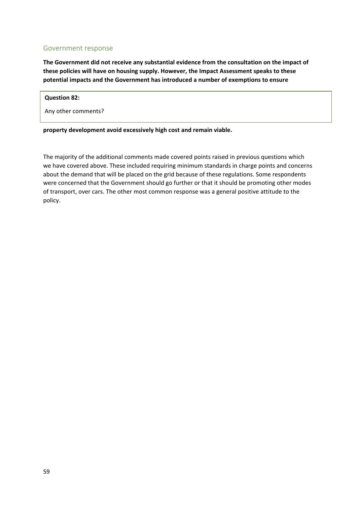### Government response

**The Government did not receive any substantial evidence from the consultation on the impact of these policies will have on housing supply. However, the Impact Assessment speaks to these potential impacts and the Government has introduced a number of exemptions to ensure** 

#### **Question 82:**

Any other comments?

**property development avoid excessively high cost and remain viable.** 

The majority of the additional comments made covered points raised in previous questions which we have covered above. These included requiring minimum standards in charge points and concerns about the demand that will be placed on the grid because of these regulations. Some respondents were concerned that the Government should go further or that it should be promoting other modes of transport, over cars. The other most common response was a general positive attitude to the policy.